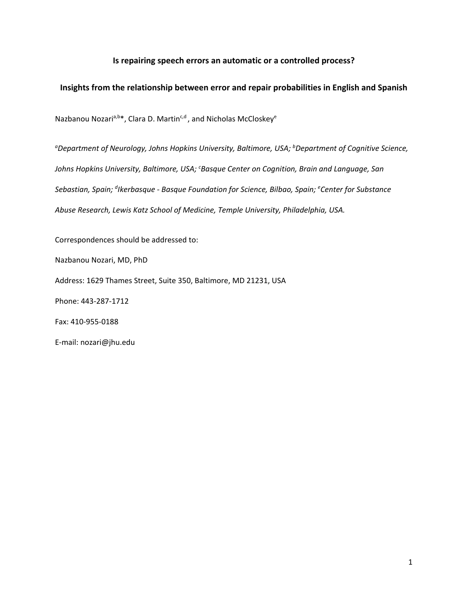# **Is repairing speech errors an automatic or a controlled process?**

# **Insights from the relationship between error and repair probabilities in English and Spanish**

Nazbanou Nozari<sup>a,b\*</sup>, Clara D. Martin<sup>c,d</sup>, and Nicholas McCloskey<sup>e</sup>

*a Department of Neurology, Johns Hopkins University, Baltimore, USA; b Department of Cognitive Science, Johns Hopkins University, Baltimore, USA; c Basque Center on Cognition, Brain and Language, San Sebastian, Spain; <sup>d</sup> Ikerbasque - Basque Foundation for Science, Bilbao, Spain; e Center for Substance Abuse Research, Lewis Katz School of Medicine, Temple University, Philadelphia, USA.*

Correspondences should be addressed to:

Nazbanou Nozari, MD, PhD

Address: 1629 Thames Street, Suite 350, Baltimore, MD 21231, USA

Phone: 443-287-1712

Fax: 410-955-0188

E-mail: nozari@jhu.edu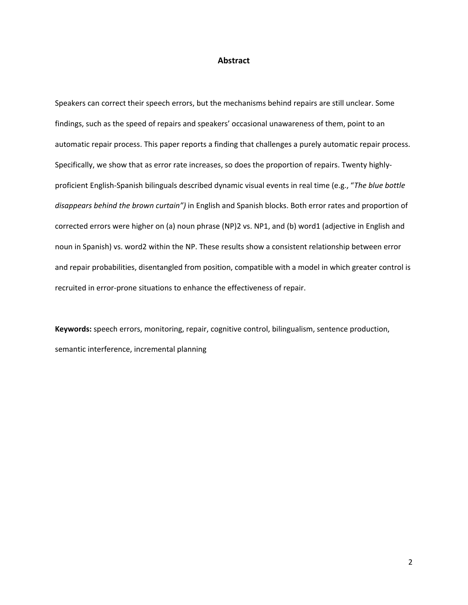# **Abstract**

Speakers can correct their speech errors, but the mechanisms behind repairs are still unclear. Some findings, such as the speed of repairs and speakers' occasional unawareness of them, point to an automatic repair process. This paper reports a finding that challenges a purely automatic repair process. Specifically, we show that as error rate increases, so does the proportion of repairs. Twenty highlyproficient English-Spanish bilinguals described dynamic visual events in real time (e.g., "*The blue bottle disappears behind the brown curtain")* in English and Spanish blocks. Both error rates and proportion of corrected errors were higher on (a) noun phrase (NP)2 vs. NP1, and (b) word1 (adjective in English and noun in Spanish) vs. word2 within the NP. These results show a consistent relationship between error and repair probabilities, disentangled from position, compatible with a model in which greater control is recruited in error-prone situations to enhance the effectiveness of repair.

**Keywords:** speech errors, monitoring, repair, cognitive control, bilingualism, sentence production, semantic interference, incremental planning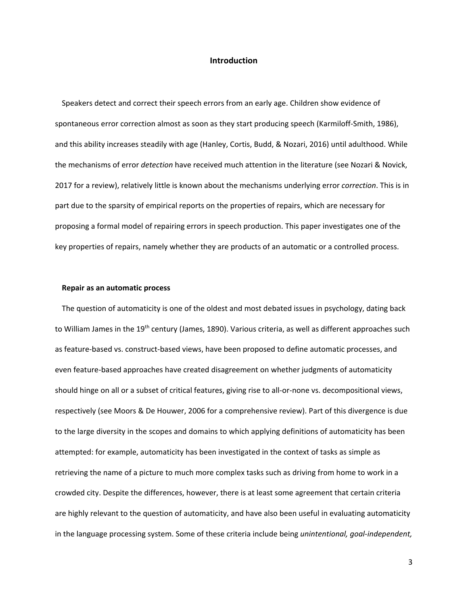## **Introduction**

Speakers detect and correct their speech errors from an early age. Children show evidence of spontaneous error correction almost as soon as they start producing speech (Karmiloff-Smith, 1986), and this ability increases steadily with age (Hanley, Cortis, Budd, & Nozari, 2016) until adulthood. While the mechanisms of error *detection* have received much attention in the literature (see Nozari & Novick, 2017 for a review), relatively little is known about the mechanisms underlying error *correction*. This is in part due to the sparsity of empirical reports on the properties of repairs, which are necessary for proposing a formal model of repairing errors in speech production. This paper investigates one of the key properties of repairs, namely whether they are products of an automatic or a controlled process.

#### **Repair as an automatic process**

The question of automaticity is one of the oldest and most debated issues in psychology, dating back to William James in the 19<sup>th</sup> century (James, 1890). Various criteria, as well as different approaches such as feature-based vs. construct-based views, have been proposed to define automatic processes, and even feature-based approaches have created disagreement on whether judgments of automaticity should hinge on all or a subset of critical features, giving rise to all-or-none vs. decompositional views, respectively (see Moors & De Houwer, 2006 for a comprehensive review). Part of this divergence is due to the large diversity in the scopes and domains to which applying definitions of automaticity has been attempted: for example, automaticity has been investigated in the context of tasks as simple as retrieving the name of a picture to much more complex tasks such as driving from home to work in a crowded city. Despite the differences, however, there is at least some agreement that certain criteria are highly relevant to the question of automaticity, and have also been useful in evaluating automaticity in the language processing system. Some of these criteria include being *unintentional, goal-independent,*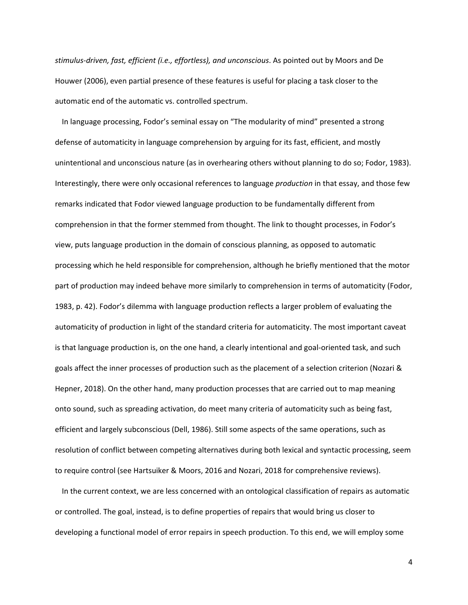*stimulus-driven, fast, efficient (i.e., effortless), and unconscious*. As pointed out by Moors and De Houwer (2006), even partial presence of these features is useful for placing a task closer to the automatic end of the automatic vs. controlled spectrum.

In language processing, Fodor's seminal essay on "The modularity of mind" presented a strong defense of automaticity in language comprehension by arguing for its fast, efficient, and mostly unintentional and unconscious nature (as in overhearing others without planning to do so; Fodor, 1983). Interestingly, there were only occasional references to language *production* in that essay, and those few remarks indicated that Fodor viewed language production to be fundamentally different from comprehension in that the former stemmed from thought. The link to thought processes, in Fodor's view, puts language production in the domain of conscious planning, as opposed to automatic processing which he held responsible for comprehension, although he briefly mentioned that the motor part of production may indeed behave more similarly to comprehension in terms of automaticity (Fodor, 1983, p. 42). Fodor's dilemma with language production reflects a larger problem of evaluating the automaticity of production in light of the standard criteria for automaticity. The most important caveat is that language production is, on the one hand, a clearly intentional and goal-oriented task, and such goals affect the inner processes of production such as the placement of a selection criterion (Nozari & Hepner, 2018). On the other hand, many production processes that are carried out to map meaning onto sound, such as spreading activation, do meet many criteria of automaticity such as being fast, efficient and largely subconscious (Dell, 1986). Still some aspects of the same operations, such as resolution of conflict between competing alternatives during both lexical and syntactic processing, seem to require control (see Hartsuiker & Moors, 2016 and Nozari, 2018 for comprehensive reviews).

In the current context, we are less concerned with an ontological classification of repairs as automatic or controlled. The goal, instead, is to define properties of repairs that would bring us closer to developing a functional model of error repairs in speech production. To this end, we will employ some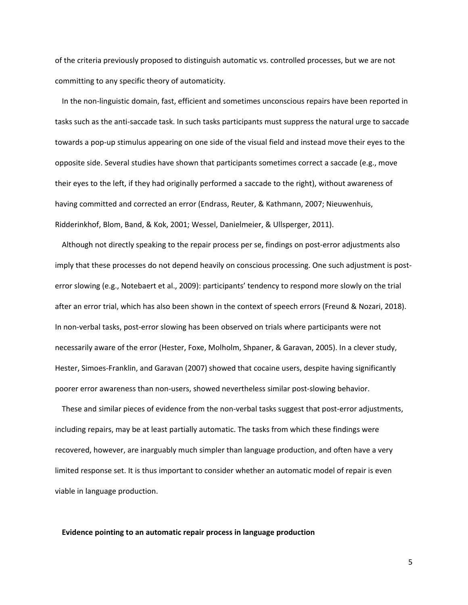of the criteria previously proposed to distinguish automatic vs. controlled processes, but we are not committing to any specific theory of automaticity.

In the non-linguistic domain, fast, efficient and sometimes unconscious repairs have been reported in tasks such as the anti-saccade task. In such tasks participants must suppress the natural urge to saccade towards a pop-up stimulus appearing on one side of the visual field and instead move their eyes to the opposite side. Several studies have shown that participants sometimes correct a saccade (e.g., move their eyes to the left, if they had originally performed a saccade to the right), without awareness of having committed and corrected an error (Endrass, Reuter, & Kathmann, 2007; Nieuwenhuis, Ridderinkhof, Blom, Band, & Kok, 2001; Wessel, Danielmeier, & Ullsperger, 2011).

Although not directly speaking to the repair process per se, findings on post-error adjustments also imply that these processes do not depend heavily on conscious processing. One such adjustment is posterror slowing (e.g., Notebaert et al., 2009): participants' tendency to respond more slowly on the trial after an error trial, which has also been shown in the context of speech errors (Freund & Nozari, 2018). In non-verbal tasks, post-error slowing has been observed on trials where participants were not necessarily aware of the error (Hester, Foxe, Molholm, Shpaner, & Garavan, 2005). In a clever study, Hester, Simoes-Franklin, and Garavan (2007) showed that cocaine users, despite having significantly poorer error awareness than non-users, showed nevertheless similar post-slowing behavior.

These and similar pieces of evidence from the non-verbal tasks suggest that post-error adjustments, including repairs, may be at least partially automatic. The tasks from which these findings were recovered, however, are inarguably much simpler than language production, and often have a very limited response set. It is thus important to consider whether an automatic model of repair is even viable in language production.

#### **Evidence pointing to an automatic repair process in language production**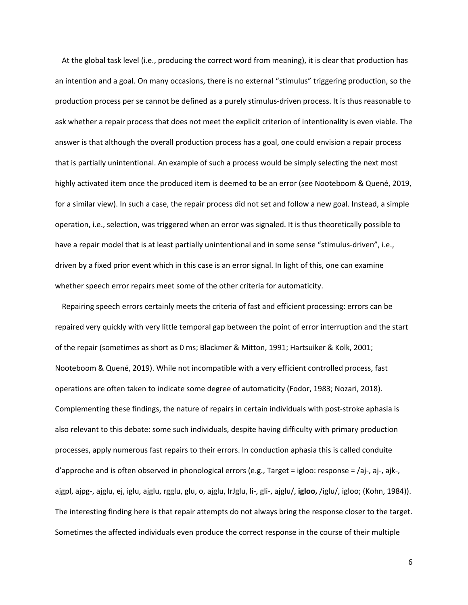At the global task level (i.e., producing the correct word from meaning), it is clear that production has an intention and a goal. On many occasions, there is no external "stimulus" triggering production, so the production process per se cannot be defined as a purely stimulus-driven process. It is thus reasonable to ask whether a repair process that does not meet the explicit criterion of intentionality is even viable. The answer is that although the overall production process has a goal, one could envision a repair process that is partially unintentional. An example of such a process would be simply selecting the next most highly activated item once the produced item is deemed to be an error (see Nooteboom & Quené, 2019, for a similar view). In such a case, the repair process did not set and follow a new goal. Instead, a simple operation, i.e., selection, was triggered when an error was signaled. It is thus theoretically possible to have a repair model that is at least partially unintentional and in some sense "stimulus-driven", i.e., driven by a fixed prior event which in this case is an error signal. In light of this, one can examine whether speech error repairs meet some of the other criteria for automaticity.

Repairing speech errors certainly meets the criteria of fast and efficient processing: errors can be repaired very quickly with very little temporal gap between the point of error interruption and the start of the repair (sometimes as short as 0 ms; Blackmer & Mitton, 1991; Hartsuiker & Kolk, 2001; Nooteboom & Quené, 2019). While not incompatible with a very efficient controlled process, fast operations are often taken to indicate some degree of automaticity (Fodor, 1983; Nozari, 2018). Complementing these findings, the nature of repairs in certain individuals with post-stroke aphasia is also relevant to this debate: some such individuals, despite having difficulty with primary production processes, apply numerous fast repairs to their errors. In conduction aphasia this is called conduite d'approche and is often observed in phonological errors (e.g., Target = igloo: response = /aj-, aj-, ajk-, ajgpl, ajpg-, ajglu, ej, iglu, ajglu, rgglu, glu, o, ajglu, IrJglu, li-, gli-, ajglu/, **igloo,** /iglu/, igloo; (Kohn, 1984)). The interesting finding here is that repair attempts do not always bring the response closer to the target. Sometimes the affected individuals even produce the correct response in the course of their multiple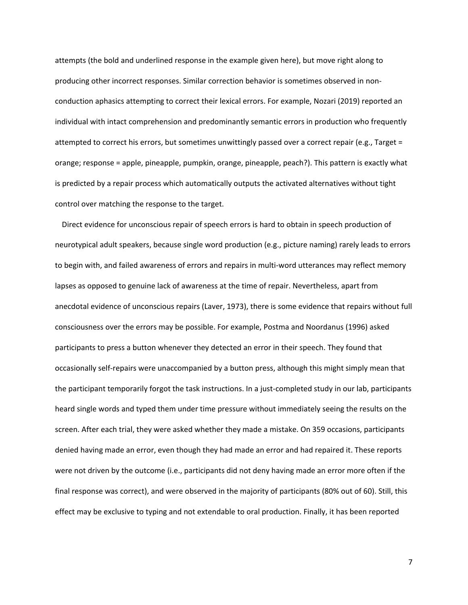attempts (the bold and underlined response in the example given here), but move right along to producing other incorrect responses. Similar correction behavior is sometimes observed in nonconduction aphasics attempting to correct their lexical errors. For example, Nozari (2019) reported an individual with intact comprehension and predominantly semantic errors in production who frequently attempted to correct his errors, but sometimes unwittingly passed over a correct repair (e.g., Target = orange; response = apple, pineapple, pumpkin, orange, pineapple, peach?). This pattern is exactly what is predicted by a repair process which automatically outputs the activated alternatives without tight control over matching the response to the target.

Direct evidence for unconscious repair of speech errors is hard to obtain in speech production of neurotypical adult speakers, because single word production (e.g., picture naming) rarely leads to errors to begin with, and failed awareness of errors and repairs in multi-word utterances may reflect memory lapses as opposed to genuine lack of awareness at the time of repair. Nevertheless, apart from anecdotal evidence of unconscious repairs (Laver, 1973), there is some evidence that repairs without full consciousness over the errors may be possible. For example, Postma and Noordanus (1996) asked participants to press a button whenever they detected an error in their speech. They found that occasionally self-repairs were unaccompanied by a button press, although this might simply mean that the participant temporarily forgot the task instructions. In a just-completed study in our lab, participants heard single words and typed them under time pressure without immediately seeing the results on the screen. After each trial, they were asked whether they made a mistake. On 359 occasions, participants denied having made an error, even though they had made an error and had repaired it. These reports were not driven by the outcome (i.e., participants did not deny having made an error more often if the final response was correct), and were observed in the majority of participants (80% out of 60). Still, this effect may be exclusive to typing and not extendable to oral production. Finally, it has been reported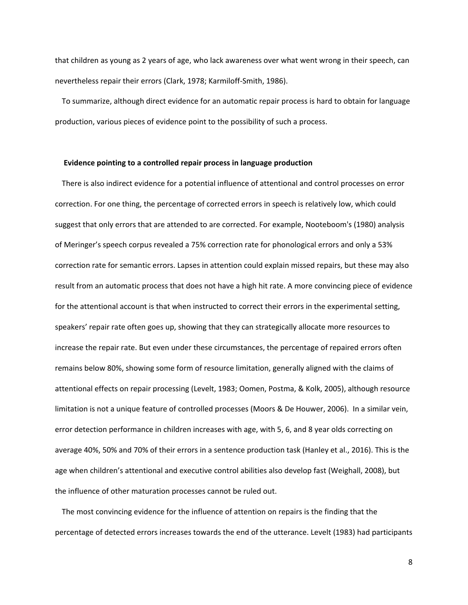that children as young as 2 years of age, who lack awareness over what went wrong in their speech, can nevertheless repair their errors (Clark, 1978; Karmiloff-Smith, 1986).

To summarize, although direct evidence for an automatic repair process is hard to obtain for language production, various pieces of evidence point to the possibility of such a process.

## **Evidence pointing to a controlled repair process in language production**

There is also indirect evidence for a potential influence of attentional and control processes on error correction. For one thing, the percentage of corrected errors in speech is relatively low, which could suggest that only errors that are attended to are corrected. For example, Nooteboom's (1980) analysis of Meringer's speech corpus revealed a 75% correction rate for phonological errors and only a 53% correction rate for semantic errors. Lapses in attention could explain missed repairs, but these may also result from an automatic process that does not have a high hit rate. A more convincing piece of evidence for the attentional account is that when instructed to correct their errors in the experimental setting, speakers' repair rate often goes up, showing that they can strategically allocate more resources to increase the repair rate. But even under these circumstances, the percentage of repaired errors often remains below 80%, showing some form of resource limitation, generally aligned with the claims of attentional effects on repair processing (Levelt, 1983; Oomen, Postma, & Kolk, 2005), although resource limitation is not a unique feature of controlled processes (Moors & De Houwer, 2006). In a similar vein, error detection performance in children increases with age, with 5, 6, and 8 year olds correcting on average 40%, 50% and 70% of their errors in a sentence production task (Hanley et al., 2016). This is the age when children's attentional and executive control abilities also develop fast (Weighall, 2008), but the influence of other maturation processes cannot be ruled out.

The most convincing evidence for the influence of attention on repairs is the finding that the percentage of detected errors increases towards the end of the utterance. Levelt (1983) had participants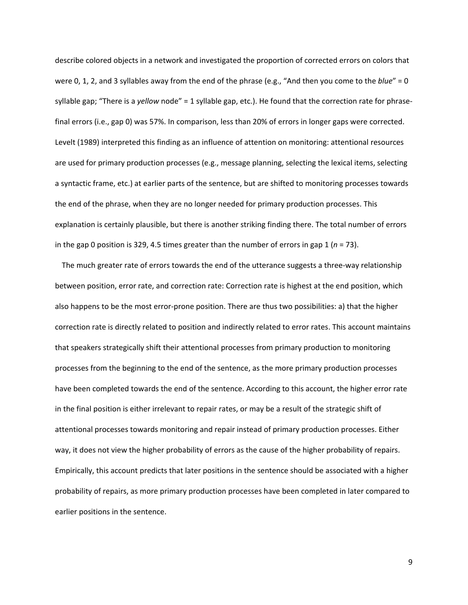describe colored objects in a network and investigated the proportion of corrected errors on colors that were 0, 1, 2, and 3 syllables away from the end of the phrase (e.g., "And then you come to the *blue*" = 0 syllable gap; "There is a *yellow* node" = 1 syllable gap, etc.). He found that the correction rate for phrasefinal errors (i.e., gap 0) was 57%. In comparison, less than 20% of errors in longer gaps were corrected. Levelt (1989) interpreted this finding as an influence of attention on monitoring: attentional resources are used for primary production processes (e.g., message planning, selecting the lexical items, selecting a syntactic frame, etc.) at earlier parts of the sentence, but are shifted to monitoring processes towards the end of the phrase, when they are no longer needed for primary production processes. This explanation is certainly plausible, but there is another striking finding there. The total number of errors in the gap 0 position is 329, 4.5 times greater than the number of errors in gap 1  $(n = 73)$ .

The much greater rate of errors towards the end of the utterance suggests a three-way relationship between position, error rate, and correction rate: Correction rate is highest at the end position, which also happens to be the most error-prone position. There are thus two possibilities: a) that the higher correction rate is directly related to position and indirectly related to error rates. This account maintains that speakers strategically shift their attentional processes from primary production to monitoring processes from the beginning to the end of the sentence, as the more primary production processes have been completed towards the end of the sentence. According to this account, the higher error rate in the final position is either irrelevant to repair rates, or may be a result of the strategic shift of attentional processes towards monitoring and repair instead of primary production processes. Either way, it does not view the higher probability of errors as the cause of the higher probability of repairs. Empirically, this account predicts that later positions in the sentence should be associated with a higher probability of repairs, as more primary production processes have been completed in later compared to earlier positions in the sentence.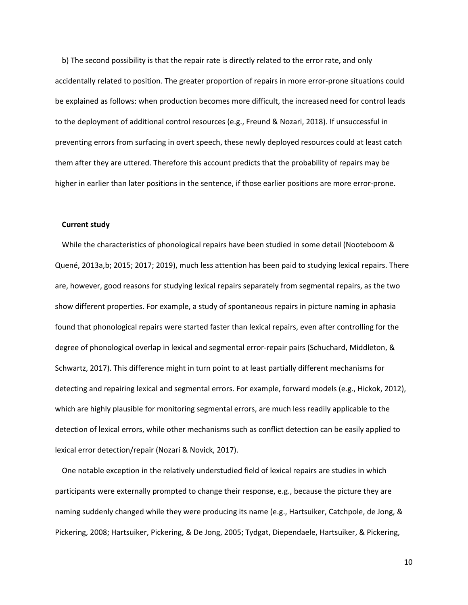b) The second possibility is that the repair rate is directly related to the error rate, and only accidentally related to position. The greater proportion of repairs in more error-prone situations could be explained as follows: when production becomes more difficult, the increased need for control leads to the deployment of additional control resources (e.g., Freund & Nozari, 2018). If unsuccessful in preventing errors from surfacing in overt speech, these newly deployed resources could at least catch them after they are uttered. Therefore this account predicts that the probability of repairs may be higher in earlier than later positions in the sentence, if those earlier positions are more error-prone.

#### **Current study**

While the characteristics of phonological repairs have been studied in some detail (Nooteboom & Quené, 2013a,b; 2015; 2017; 2019), much less attention has been paid to studying lexical repairs. There are, however, good reasons for studying lexical repairs separately from segmental repairs, as the two show different properties. For example, a study of spontaneous repairs in picture naming in aphasia found that phonological repairs were started faster than lexical repairs, even after controlling for the degree of phonological overlap in lexical and segmental error-repair pairs (Schuchard, Middleton, & Schwartz, 2017). This difference might in turn point to at least partially different mechanisms for detecting and repairing lexical and segmental errors. For example, forward models (e.g., Hickok, 2012), which are highly plausible for monitoring segmental errors, are much less readily applicable to the detection of lexical errors, while other mechanisms such as conflict detection can be easily applied to lexical error detection/repair (Nozari & Novick, 2017).

One notable exception in the relatively understudied field of lexical repairs are studies in which participants were externally prompted to change their response, e.g., because the picture they are naming suddenly changed while they were producing its name (e.g., Hartsuiker, Catchpole, de Jong, & Pickering, 2008; Hartsuiker, Pickering, & De Jong, 2005; Tydgat, Diependaele, Hartsuiker, & Pickering,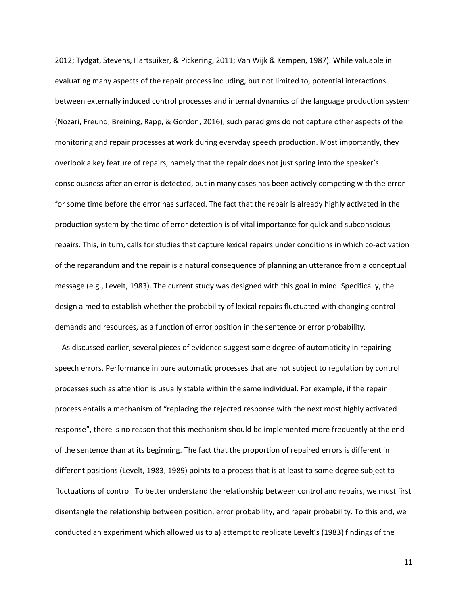2012; Tydgat, Stevens, Hartsuiker, & Pickering, 2011; Van Wijk & Kempen, 1987). While valuable in evaluating many aspects of the repair process including, but not limited to, potential interactions between externally induced control processes and internal dynamics of the language production system (Nozari, Freund, Breining, Rapp, & Gordon, 2016), such paradigms do not capture other aspects of the monitoring and repair processes at work during everyday speech production. Most importantly, they overlook a key feature of repairs, namely that the repair does not just spring into the speaker's consciousness after an error is detected, but in many cases has been actively competing with the error for some time before the error has surfaced. The fact that the repair is already highly activated in the production system by the time of error detection is of vital importance for quick and subconscious repairs. This, in turn, calls for studies that capture lexical repairs under conditions in which co-activation of the reparandum and the repair is a natural consequence of planning an utterance from a conceptual message (e.g., Levelt, 1983). The current study was designed with this goal in mind. Specifically, the design aimed to establish whether the probability of lexical repairs fluctuated with changing control demands and resources, as a function of error position in the sentence or error probability.

As discussed earlier, several pieces of evidence suggest some degree of automaticity in repairing speech errors. Performance in pure automatic processes that are not subject to regulation by control processes such as attention is usually stable within the same individual. For example, if the repair process entails a mechanism of "replacing the rejected response with the next most highly activated response", there is no reason that this mechanism should be implemented more frequently at the end of the sentence than at its beginning. The fact that the proportion of repaired errors is different in different positions (Levelt, 1983, 1989) points to a process that is at least to some degree subject to fluctuations of control. To better understand the relationship between control and repairs, we must first disentangle the relationship between position, error probability, and repair probability. To this end, we conducted an experiment which allowed us to a) attempt to replicate Levelt's (1983) findings of the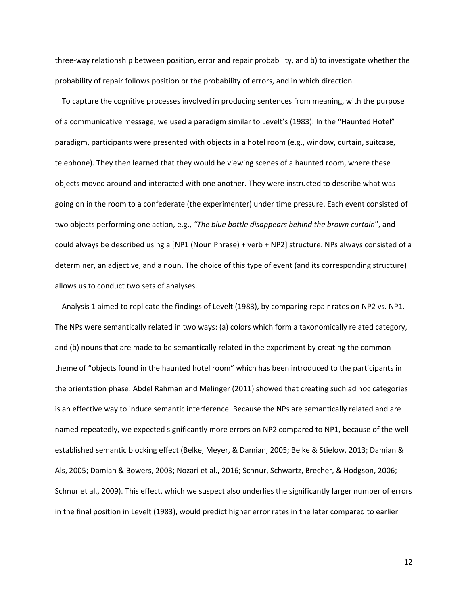three-way relationship between position, error and repair probability, and b) to investigate whether the probability of repair follows position or the probability of errors, and in which direction.

To capture the cognitive processes involved in producing sentences from meaning, with the purpose of a communicative message, we used a paradigm similar to Levelt's (1983). In the "Haunted Hotel" paradigm, participants were presented with objects in a hotel room (e.g., window, curtain, suitcase, telephone). They then learned that they would be viewing scenes of a haunted room, where these objects moved around and interacted with one another. They were instructed to describe what was going on in the room to a confederate (the experimenter) under time pressure. Each event consisted of two objects performing one action, e.g., *"The blue bottle disappears behind the brown curtain*", and could always be described using a [NP1 (Noun Phrase) + verb + NP2] structure. NPs always consisted of a determiner, an adjective, and a noun. The choice of this type of event (and its corresponding structure) allows us to conduct two sets of analyses.

Analysis 1 aimed to replicate the findings of Levelt (1983), by comparing repair rates on NP2 vs. NP1. The NPs were semantically related in two ways: (a) colors which form a taxonomically related category, and (b) nouns that are made to be semantically related in the experiment by creating the common theme of "objects found in the haunted hotel room" which has been introduced to the participants in the orientation phase. Abdel Rahman and Melinger (2011) showed that creating such ad hoc categories is an effective way to induce semantic interference. Because the NPs are semantically related and are named repeatedly, we expected significantly more errors on NP2 compared to NP1, because of the wellestablished semantic blocking effect (Belke, Meyer, & Damian, 2005; Belke & Stielow, 2013; Damian & Als, 2005; Damian & Bowers, 2003; Nozari et al., 2016; Schnur, Schwartz, Brecher, & Hodgson, 2006; Schnur et al., 2009). This effect, which we suspect also underlies the significantly larger number of errors in the final position in Levelt (1983), would predict higher error rates in the later compared to earlier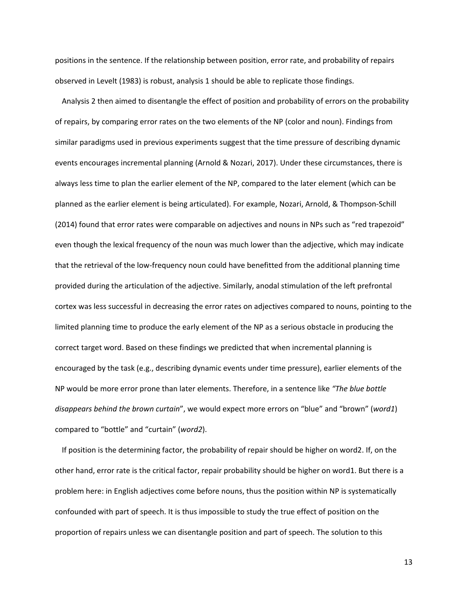positions in the sentence. If the relationship between position, error rate, and probability of repairs observed in Levelt (1983) is robust, analysis 1 should be able to replicate those findings.

Analysis 2 then aimed to disentangle the effect of position and probability of errors on the probability of repairs, by comparing error rates on the two elements of the NP (color and noun). Findings from similar paradigms used in previous experiments suggest that the time pressure of describing dynamic events encourages incremental planning (Arnold & Nozari, 2017). Under these circumstances, there is always less time to plan the earlier element of the NP, compared to the later element (which can be planned as the earlier element is being articulated). For example, Nozari, Arnold, & Thompson-Schill (2014) found that error rates were comparable on adjectives and nouns in NPs such as "red trapezoid" even though the lexical frequency of the noun was much lower than the adjective, which may indicate that the retrieval of the low-frequency noun could have benefitted from the additional planning time provided during the articulation of the adjective. Similarly, anodal stimulation of the left prefrontal cortex was less successful in decreasing the error rates on adjectives compared to nouns, pointing to the limited planning time to produce the early element of the NP as a serious obstacle in producing the correct target word. Based on these findings we predicted that when incremental planning is encouraged by the task (e.g., describing dynamic events under time pressure), earlier elements of the NP would be more error prone than later elements. Therefore, in a sentence like *"The blue bottle disappears behind the brown curtain*", we would expect more errors on "blue" and "brown" (*word1*) compared to "bottle" and "curtain" (*word2*).

If position is the determining factor, the probability of repair should be higher on word2. If, on the other hand, error rate is the critical factor, repair probability should be higher on word1. But there is a problem here: in English adjectives come before nouns, thus the position within NP is systematically confounded with part of speech. It is thus impossible to study the true effect of position on the proportion of repairs unless we can disentangle position and part of speech. The solution to this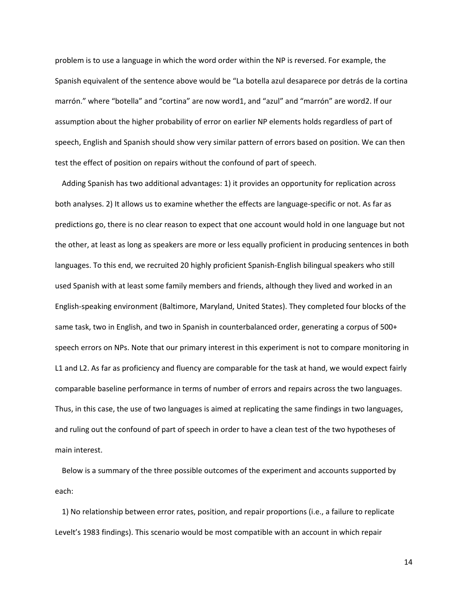problem is to use a language in which the word order within the NP is reversed. For example, the Spanish equivalent of the sentence above would be "La botella azul desaparece por detrás de la cortina marrón." where "botella" and "cortina" are now word1, and "azul" and "marrón" are word2. If our assumption about the higher probability of error on earlier NP elements holds regardless of part of speech, English and Spanish should show very similar pattern of errors based on position. We can then test the effect of position on repairs without the confound of part of speech.

Adding Spanish has two additional advantages: 1) it provides an opportunity for replication across both analyses. 2) It allows us to examine whether the effects are language-specific or not. As far as predictions go, there is no clear reason to expect that one account would hold in one language but not the other, at least as long as speakers are more or less equally proficient in producing sentences in both languages. To this end, we recruited 20 highly proficient Spanish-English bilingual speakers who still used Spanish with at least some family members and friends, although they lived and worked in an English-speaking environment (Baltimore, Maryland, United States). They completed four blocks of the same task, two in English, and two in Spanish in counterbalanced order, generating a corpus of 500+ speech errors on NPs. Note that our primary interest in this experiment is not to compare monitoring in L1 and L2. As far as proficiency and fluency are comparable for the task at hand, we would expect fairly comparable baseline performance in terms of number of errors and repairs across the two languages. Thus, in this case, the use of two languages is aimed at replicating the same findings in two languages, and ruling out the confound of part of speech in order to have a clean test of the two hypotheses of main interest.

Below is a summary of the three possible outcomes of the experiment and accounts supported by each:

1) No relationship between error rates, position, and repair proportions (i.e., a failure to replicate Levelt's 1983 findings). This scenario would be most compatible with an account in which repair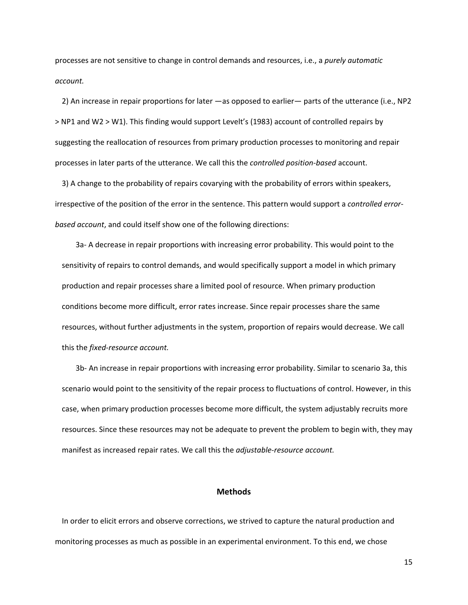processes are not sensitive to change in control demands and resources, i.e., a *purely automatic account.*

2) An increase in repair proportions for later —as opposed to earlier— parts of the utterance (i.e., NP2 > NP1 and W2 > W1). This finding would support Levelt's (1983) account of controlled repairs by suggesting the reallocation of resources from primary production processes to monitoring and repair processes in later parts of the utterance. We call this the *controlled position-based* account.

3) A change to the probability of repairs covarying with the probability of errors within speakers, irrespective of the position of the error in the sentence. This pattern would support a *controlled errorbased account*, and could itself show one of the following directions:

3a- A decrease in repair proportions with increasing error probability. This would point to the sensitivity of repairs to control demands, and would specifically support a model in which primary production and repair processes share a limited pool of resource. When primary production conditions become more difficult, error rates increase. Since repair processes share the same resources, without further adjustments in the system, proportion of repairs would decrease. We call this the *fixed-resource account.*

3b- An increase in repair proportions with increasing error probability. Similar to scenario 3a, this scenario would point to the sensitivity of the repair process to fluctuations of control. However, in this case, when primary production processes become more difficult, the system adjustably recruits more resources. Since these resources may not be adequate to prevent the problem to begin with, they may manifest as increased repair rates. We call this the *adjustable-resource account.* 

# **Methods**

In order to elicit errors and observe corrections, we strived to capture the natural production and monitoring processes as much as possible in an experimental environment. To this end, we chose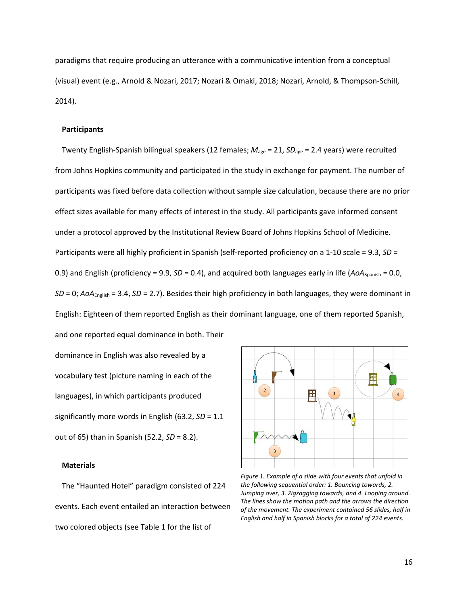paradigms that require producing an utterance with a communicative intention from a conceptual (visual) event (e.g., Arnold & Nozari, 2017; Nozari & Omaki, 2018; Nozari, Arnold, & Thompson-Schill, 2014).

## **Participants**

Twenty English-Spanish bilingual speakers (12 females; *M*age = 21, *SD*age = 2.4 years) were recruited from Johns Hopkins community and participated in the study in exchange for payment. The number of participants was fixed before data collection without sample size calculation, because there are no prior effect sizes available for many effects of interest in the study. All participants gave informed consent under a protocol approved by the Institutional Review Board of Johns Hopkins School of Medicine. Participants were all highly proficient in Spanish (self-reported proficiency on a 1-10 scale = 9.3, *SD* = 0.9) and English (proficiency = 9.9, *SD* = 0.4), and acquired both languages early in life (AoA<sub>Spanish</sub> = 0.0, *SD* = 0; *AoA*English = 3.4, *SD* = 2.7). Besides their high proficiency in both languages, they were dominant in English: Eighteen of them reported English as their dominant language, one of them reported Spanish, and one reported equal dominance in both. Their

dominance in English was also revealed by a vocabulary test (picture naming in each of the languages), in which participants produced significantly more words in English (63.2, *SD* = 1.1 out of 65) than in Spanish (52.2, *SD* = 8.2).

#### **Materials**

The "Haunted Hotel" paradigm consisted of 224 events. Each event entailed an interaction between two colored objects (see Table 1 for the list of



*Figure 1. Example of a slide with four events that unfold in the following sequential order: 1. Bouncing towards, 2. Jumping over, 3. Zigzagging towards, and 4. Looping around. The lines show the motion path and the arrows the direction of the movement. The experiment contained 56 slides, half in English and half in Spanish blocks for a total of 224 events.*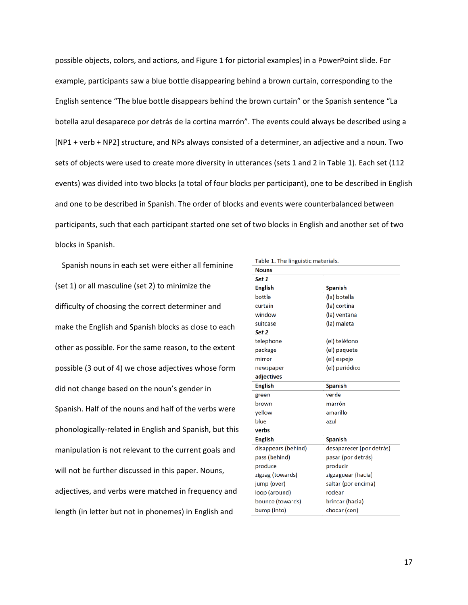possible objects, colors, and actions, and Figure 1 for pictorial examples) in a PowerPoint slide. For example, participants saw a blue bottle disappearing behind a brown curtain, corresponding to the English sentence "The blue bottle disappears behind the brown curtain" or the Spanish sentence "La botella azul desaparece por detrás de la cortina marrón". The events could always be described using a [NP1 + verb + NP2] structure, and NPs always consisted of a determiner, an adjective and a noun. Two sets of objects were used to create more diversity in utterances (sets 1 and 2 in Table 1). Each set (112 events) was divided into two blocks (a total of four blocks per participant), one to be described in English and one to be described in Spanish. The order of blocks and events were counterbalanced between participants, such that each participant started one set of two blocks in English and another set of two blocks in Spanish.

Spanish nouns in each set were either all feminine (set 1) or all masculine (set 2) to minimize the difficulty of choosing the correct determiner and make the English and Spanish blocks as close to each other as possible. For the same reason, to the extent possible (3 out of 4) we chose adjectives whose form did not change based on the noun's gender in Spanish. Half of the nouns and half of the verbs were phonologically-related in English and Spanish, but this manipulation is not relevant to the current goals and will not be further discussed in this paper. Nouns, adjectives, and verbs were matched in frequency and length (in letter but not in phonemes) in English and

| Table 1. The linguistic materials. |                          |
|------------------------------------|--------------------------|
| <b>Nouns</b>                       |                          |
| Set 1                              |                          |
| <b>English</b>                     | <b>Spanish</b>           |
| bottle                             | (la) botella             |
| curtain                            | (la) cortina             |
| window                             | (la) ventana             |
| suitcase                           | (la) maleta              |
| Set 2                              |                          |
| telephone                          | (el) teléfono            |
| package                            | (el) paquete             |
| mirror                             | (el) espejo              |
| newspaper                          | (el) periódico           |
| adjectives                         |                          |
| <b>English</b>                     | <b>Spanish</b>           |
| green                              | verde                    |
| brown                              | marrón                   |
| vellow                             | amarillo                 |
| blue                               | azul                     |
| verbs                              |                          |
| <b>English</b>                     | <b>Spanish</b>           |
| disappears (behind)                | desaparecer (por detrás) |
| pass (behind)                      | pasar (por detrás)       |
| produce                            | producir                 |
| zigzag (towards)                   | zigzaguear (hacia)       |
| jump (over)                        | saltar (por encima)      |
| loop (around)                      | rodear                   |
| bounce (towards)                   | brincar (hacia)          |
| bump (into)                        | chocar (con)             |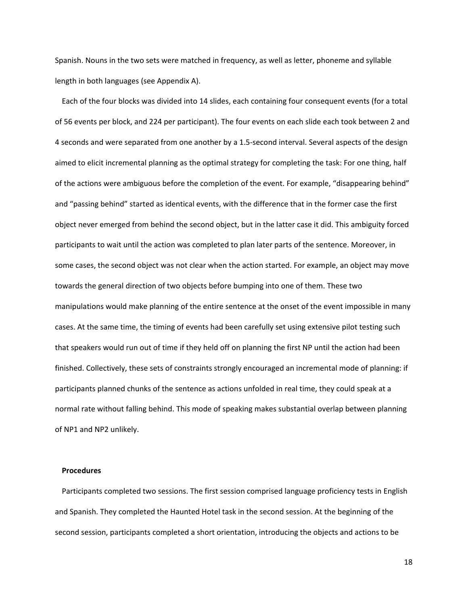Spanish. Nouns in the two sets were matched in frequency, as well as letter, phoneme and syllable length in both languages (see Appendix A).

Each of the four blocks was divided into 14 slides, each containing four consequent events (for a total of 56 events per block, and 224 per participant). The four events on each slide each took between 2 and 4 seconds and were separated from one another by a 1.5-second interval. Several aspects of the design aimed to elicit incremental planning as the optimal strategy for completing the task: For one thing, half of the actions were ambiguous before the completion of the event. For example, "disappearing behind" and "passing behind" started as identical events, with the difference that in the former case the first object never emerged from behind the second object, but in the latter case it did. This ambiguity forced participants to wait until the action was completed to plan later parts of the sentence. Moreover, in some cases, the second object was not clear when the action started. For example, an object may move towards the general direction of two objects before bumping into one of them. These two manipulations would make planning of the entire sentence at the onset of the event impossible in many cases. At the same time, the timing of events had been carefully set using extensive pilot testing such that speakers would run out of time if they held off on planning the first NP until the action had been finished. Collectively, these sets of constraints strongly encouraged an incremental mode of planning: if participants planned chunks of the sentence as actions unfolded in real time, they could speak at a normal rate without falling behind. This mode of speaking makes substantial overlap between planning of NP1 and NP2 unlikely.

# **Procedures**

Participants completed two sessions. The first session comprised language proficiency tests in English and Spanish. They completed the Haunted Hotel task in the second session. At the beginning of the second session, participants completed a short orientation, introducing the objects and actions to be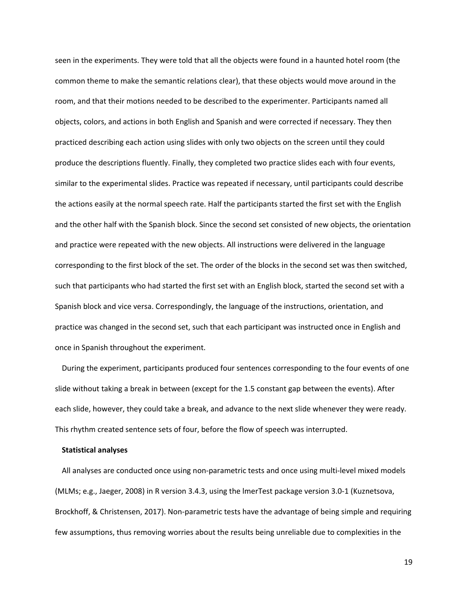seen in the experiments. They were told that all the objects were found in a haunted hotel room (the common theme to make the semantic relations clear), that these objects would move around in the room, and that their motions needed to be described to the experimenter. Participants named all objects, colors, and actions in both English and Spanish and were corrected if necessary. They then practiced describing each action using slides with only two objects on the screen until they could produce the descriptions fluently. Finally, they completed two practice slides each with four events, similar to the experimental slides. Practice was repeated if necessary, until participants could describe the actions easily at the normal speech rate. Half the participants started the first set with the English and the other half with the Spanish block. Since the second set consisted of new objects, the orientation and practice were repeated with the new objects. All instructions were delivered in the language corresponding to the first block of the set. The order of the blocks in the second set was then switched, such that participants who had started the first set with an English block, started the second set with a Spanish block and vice versa. Correspondingly, the language of the instructions, orientation, and practice was changed in the second set, such that each participant was instructed once in English and once in Spanish throughout the experiment.

During the experiment, participants produced four sentences corresponding to the four events of one slide without taking a break in between (except for the 1.5 constant gap between the events). After each slide, however, they could take a break, and advance to the next slide whenever they were ready. This rhythm created sentence sets of four, before the flow of speech was interrupted.

## **Statistical analyses**

All analyses are conducted once using non-parametric tests and once using multi-level mixed models (MLMs; e.g., Jaeger, 2008) in R version 3.4.3, using the lmerTest package version 3.0-1 (Kuznetsova, Brockhoff, & Christensen, 2017). Non-parametric tests have the advantage of being simple and requiring few assumptions, thus removing worries about the results being unreliable due to complexities in the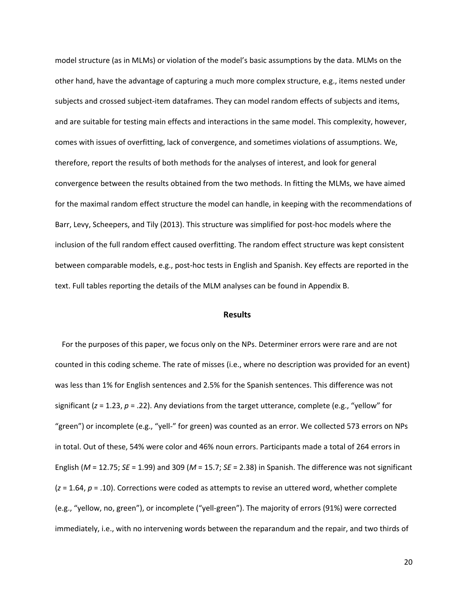model structure (as in MLMs) or violation of the model's basic assumptions by the data. MLMs on the other hand, have the advantage of capturing a much more complex structure, e.g., items nested under subjects and crossed subject-item dataframes. They can model random effects of subjects and items, and are suitable for testing main effects and interactions in the same model. This complexity, however, comes with issues of overfitting, lack of convergence, and sometimes violations of assumptions. We, therefore, report the results of both methods for the analyses of interest, and look for general convergence between the results obtained from the two methods. In fitting the MLMs, we have aimed for the maximal random effect structure the model can handle, in keeping with the recommendations of Barr, Levy, Scheepers, and Tily (2013). This structure was simplified for post-hoc models where the inclusion of the full random effect caused overfitting. The random effect structure was kept consistent between comparable models, e.g., post-hoc tests in English and Spanish. Key effects are reported in the text. Full tables reporting the details of the MLM analyses can be found in Appendix B.

## **Results**

For the purposes of this paper, we focus only on the NPs. Determiner errors were rare and are not counted in this coding scheme. The rate of misses (i.e., where no description was provided for an event) was less than 1% for English sentences and 2.5% for the Spanish sentences. This difference was not significant (*z* = 1.23, *p* = .22). Any deviations from the target utterance, complete (e.g., "yellow" for "green") or incomplete (e.g., "yell-" for green) was counted as an error. We collected 573 errors on NPs in total. Out of these, 54% were color and 46% noun errors. Participants made a total of 264 errors in English (*M* = 12.75; *SE* = 1.99) and 309 (*M* = 15.7; *SE* = 2.38) in Spanish. The difference was not significant (*z* = 1.64, *p* = .10). Corrections were coded as attempts to revise an uttered word, whether complete (e.g., "yellow, no, green"), or incomplete ("yell-green"). The majority of errors (91%) were corrected immediately, i.e., with no intervening words between the reparandum and the repair, and two thirds of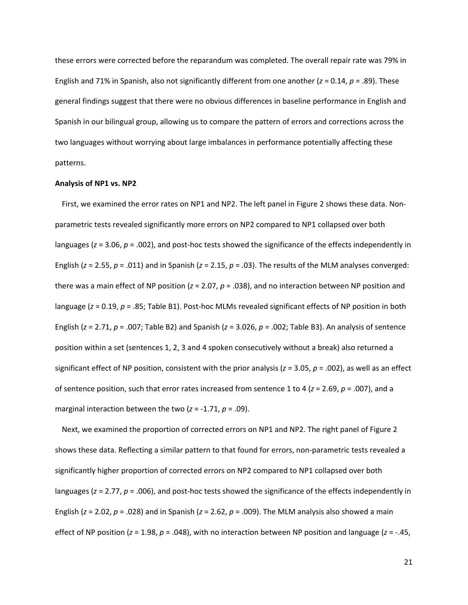these errors were corrected before the reparandum was completed. The overall repair rate was 79% in English and 71% in Spanish, also not significantly different from one another (*z* = 0.14, *p* = .89). These general findings suggest that there were no obvious differences in baseline performance in English and Spanish in our bilingual group, allowing us to compare the pattern of errors and corrections across the two languages without worrying about large imbalances in performance potentially affecting these patterns.

#### **Analysis of NP1 vs. NP2**

First, we examined the error rates on NP1 and NP2. The left panel in Figure 2 shows these data. Nonparametric tests revealed significantly more errors on NP2 compared to NP1 collapsed over both languages (*z* = 3.06, *p* = .002), and post-hoc tests showed the significance of the effects independently in English (*z* = 2.55, *p* = .011) and in Spanish (*z* = 2.15, *p* = .03). The results of the MLM analyses converged: there was a main effect of NP position (*z* = 2.07, *p* = .038), and no interaction between NP position and language (*z* = 0.19, *p* = .85; Table B1). Post-hoc MLMs revealed significant effects of NP position in both English (*z* = 2.71, *p* = .007; Table B2) and Spanish (*z* = 3.026, *p* = .002; Table B3). An analysis of sentence position within a set (sentences 1, 2, 3 and 4 spoken consecutively without a break) also returned a significant effect of NP position, consistent with the prior analysis (*z* = 3.05, *p* = .002), as well as an effect of sentence position, such that error rates increased from sentence 1 to 4 (*z* = 2.69, *p* = .007), and a marginal interaction between the two  $(z = -1.71, p = .09)$ .

Next, we examined the proportion of corrected errors on NP1 and NP2. The right panel of Figure 2 shows these data. Reflecting a similar pattern to that found for errors, non-parametric tests revealed a significantly higher proportion of corrected errors on NP2 compared to NP1 collapsed over both languages (*z* = 2.77, *p* = .006), and post-hoc tests showed the significance of the effects independently in English (*z* = 2.02, *p* = .028) and in Spanish (*z* = 2.62, *p* = .009). The MLM analysis also showed a main effect of NP position (*z* = 1.98, *p* = .048), with no interaction between NP position and language (*z* = -.45,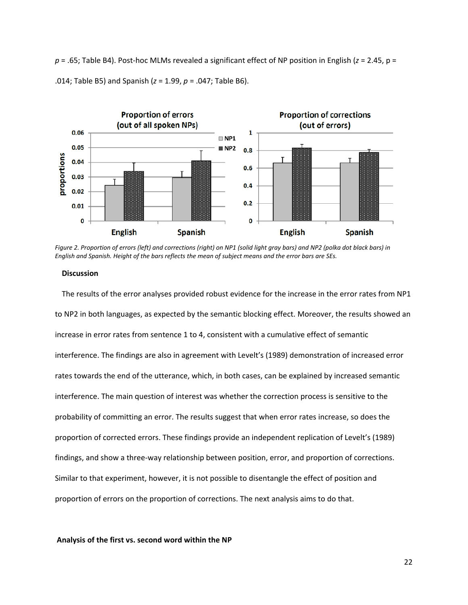*p* = .65; Table B4). Post-hoc MLMs revealed a significant effect of NP position in English (*z* = 2.45, p = .014; Table B5) and Spanish (*z* = 1.99, *p* = .047; Table B6).



*Figure 2. Proportion of errors (left) and corrections (right) on NP1 (solid light gray bars) and NP2 (polka dot black bars) in English and Spanish. Height of the bars reflects the mean of subject means and the error bars are SEs.* 

## **Discussion**

The results of the error analyses provided robust evidence for the increase in the error rates from NP1 to NP2 in both languages, as expected by the semantic blocking effect. Moreover, the results showed an increase in error rates from sentence 1 to 4, consistent with a cumulative effect of semantic interference. The findings are also in agreement with Levelt's (1989) demonstration of increased error rates towards the end of the utterance, which, in both cases, can be explained by increased semantic interference. The main question of interest was whether the correction process is sensitive to the probability of committing an error. The results suggest that when error rates increase, so does the proportion of corrected errors. These findings provide an independent replication of Levelt's (1989) findings, and show a three-way relationship between position, error, and proportion of corrections. Similar to that experiment, however, it is not possible to disentangle the effect of position and proportion of errors on the proportion of corrections. The next analysis aims to do that.

### **Analysis of the first vs. second word within the NP**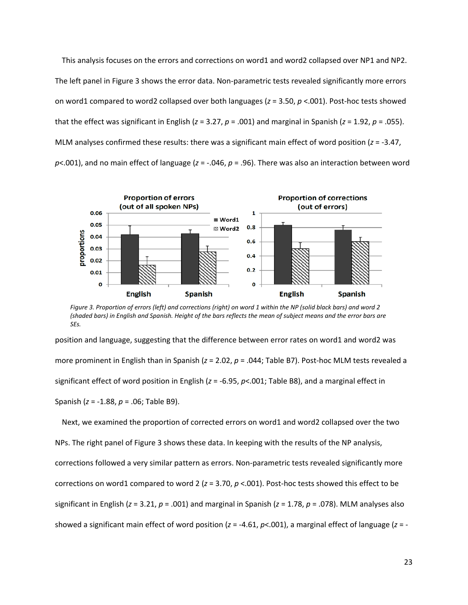This analysis focuses on the errors and corrections on word1 and word2 collapsed over NP1 and NP2. The left panel in Figure 3 shows the error data. Non-parametric tests revealed significantly more errors on word1 compared to word2 collapsed over both languages (*z* = 3.50, *p* <.001). Post-hoc tests showed that the effect was significant in English (*z* = 3.27, *p* = .001) and marginal in Spanish (*z* = 1.92, *p* = .055). MLM analyses confirmed these results: there was a significant main effect of word position (*z* = -3.47, *p*<.001), and no main effect of language (*z* = -.046, *p* = .96). There was also an interaction between word



*Figure 3. Proportion of errors (left) and corrections (right) on word 1 within the NP (solid black bars) and word 2 (shaded bars) in English and Spanish. Height of the bars reflects the mean of subject means and the error bars are SEs.*

position and language, suggesting that the difference between error rates on word1 and word2 was more prominent in English than in Spanish (*z* = 2.02, *p* = .044; Table B7). Post-hoc MLM tests revealed a significant effect of word position in English (*z* = -6.95, *p*<.001; Table B8), and a marginal effect in Spanish (*z* = -1.88, *p* = .06; Table B9).

Next, we examined the proportion of corrected errors on word1 and word2 collapsed over the two NPs. The right panel of Figure 3 shows these data. In keeping with the results of the NP analysis, corrections followed a very similar pattern as errors. Non-parametric tests revealed significantly more corrections on word1 compared to word 2 (*z* = 3.70, *p* <.001). Post-hoc tests showed this effect to be significant in English (*z* = 3.21, *p* = .001) and marginal in Spanish (*z* = 1.78, *p* = .078). MLM analyses also showed a significant main effect of word position (*z* = -4.61, *p*<.001), a marginal effect of language (*z* = -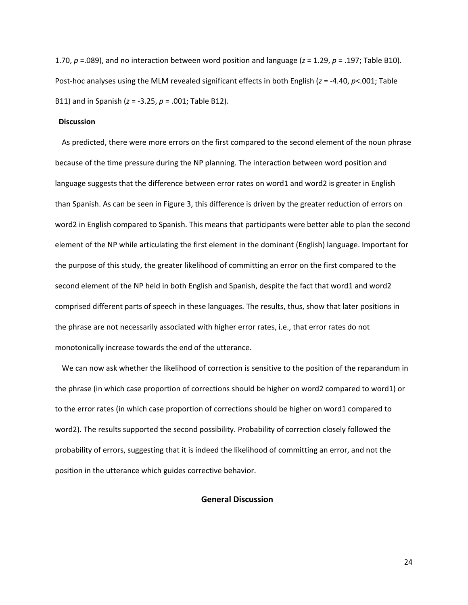1.70, *p* =.089), and no interaction between word position and language (*z* = 1.29, *p* = .197; Table B10). Post-hoc analyses using the MLM revealed significant effects in both English (*z* = -4.40, *p*<.001; Table B11) and in Spanish (*z* = -3.25, *p* = .001; Table B12).

# **Discussion**

As predicted, there were more errors on the first compared to the second element of the noun phrase because of the time pressure during the NP planning. The interaction between word position and language suggests that the difference between error rates on word1 and word2 is greater in English than Spanish. As can be seen in Figure 3, this difference is driven by the greater reduction of errors on word2 in English compared to Spanish. This means that participants were better able to plan the second element of the NP while articulating the first element in the dominant (English) language. Important for the purpose of this study, the greater likelihood of committing an error on the first compared to the second element of the NP held in both English and Spanish, despite the fact that word1 and word2 comprised different parts of speech in these languages. The results, thus, show that later positions in the phrase are not necessarily associated with higher error rates, i.e., that error rates do not monotonically increase towards the end of the utterance.

We can now ask whether the likelihood of correction is sensitive to the position of the reparandum in the phrase (in which case proportion of corrections should be higher on word2 compared to word1) or to the error rates (in which case proportion of corrections should be higher on word1 compared to word2). The results supported the second possibility. Probability of correction closely followed the probability of errors, suggesting that it is indeed the likelihood of committing an error, and not the position in the utterance which guides corrective behavior.

## **General Discussion**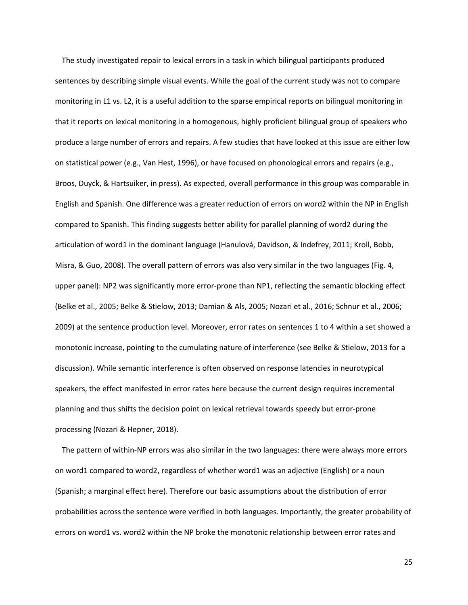The study investigated repair to lexical errors in a task in which bilingual participants produced sentences by describing simple visual events. While the goal of the current study was not to compare monitoring in L1 vs. L2, it is a useful addition to the sparse empirical reports on bilingual monitoring in that it reports on lexical monitoring in a homogenous, highly proficient bilingual group of speakers who produce a large number of errors and repairs. A few studies that have looked at this issue are either low on statistical power (e.g., Van Hest, 1996), or have focused on phonological errors and repairs (e.g., Broos, Duyck, & Hartsuiker, in press). As expected, overall performance in this group was comparable in English and Spanish. One difference was a greater reduction of errors on word2 within the NP in English compared to Spanish. This finding suggests better ability for parallel planning of word2 during the articulation of word1 in the dominant language (Hanulová, Davidson, & Indefrey, 2011; Kroll, Bobb, Misra, & Guo, 2008). The overall pattern of errors was also very similar in the two languages (Fig. 4, upper panel): NP2 was significantly more error-prone than NP1, reflecting the semantic blocking effect (Belke et al., 2005; Belke & Stielow, 2013; Damian & Als, 2005; Nozari et al., 2016; Schnur et al., 2006; 2009) at the sentence production level. Moreover, error rates on sentences 1 to 4 within a set showed a monotonic increase, pointing to the cumulating nature of interference (see Belke & Stielow, 2013 for a discussion). While semantic interference is often observed on response latencies in neurotypical speakers, the effect manifested in error rates here because the current design requires incremental planning and thus shifts the decision point on lexical retrieval towards speedy but error-prone processing (Nozari & Hepner, 2018).

The pattern of within-NP errors was also similar in the two languages: there were always more errors on word1 compared to word2, regardless of whether word1 was an adjective (English) or a noun (Spanish; a marginal effect here). Therefore our basic assumptions about the distribution of error probabilities across the sentence were verified in both languages. Importantly, the greater probability of errors on word1 vs. word2 within the NP broke the monotonic relationship between error rates and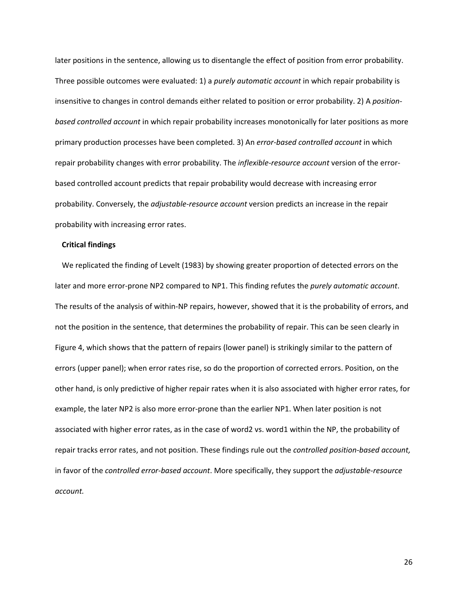later positions in the sentence, allowing us to disentangle the effect of position from error probability. Three possible outcomes were evaluated: 1) a *purely automatic account* in which repair probability is insensitive to changes in control demands either related to position or error probability. 2) A *positionbased controlled account* in which repair probability increases monotonically for later positions as more primary production processes have been completed. 3) An *error-based controlled account* in which repair probability changes with error probability. The *inflexible-resource account* version of the errorbased controlled account predicts that repair probability would decrease with increasing error probability. Conversely, the *adjustable-resource account* version predicts an increase in the repair probability with increasing error rates.

## **Critical findings**

We replicated the finding of Levelt (1983) by showing greater proportion of detected errors on the later and more error-prone NP2 compared to NP1. This finding refutes the *purely automatic account*. The results of the analysis of within-NP repairs, however, showed that it is the probability of errors, and not the position in the sentence, that determines the probability of repair. This can be seen clearly in Figure 4, which shows that the pattern of repairs (lower panel) is strikingly similar to the pattern of errors (upper panel); when error rates rise, so do the proportion of corrected errors. Position, on the other hand, is only predictive of higher repair rates when it is also associated with higher error rates, for example, the later NP2 is also more error-prone than the earlier NP1. When later position is not associated with higher error rates, as in the case of word2 vs. word1 within the NP, the probability of repair tracks error rates, and not position. These findings rule out the *controlled position-based account,*  in favor of the *controlled error-based account*. More specifically, they support the *adjustable-resource account.*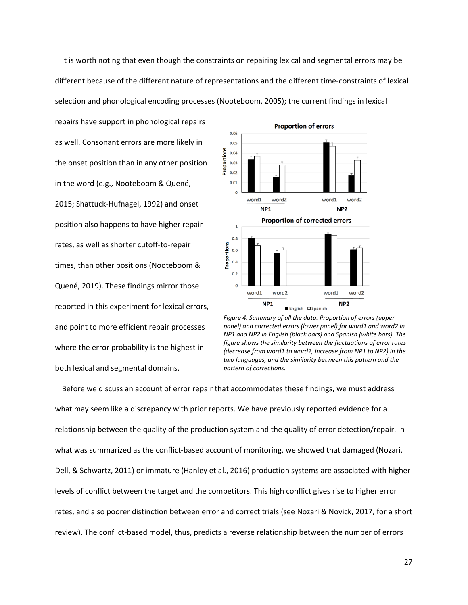It is worth noting that even though the constraints on repairing lexical and segmental errors may be different because of the different nature of representations and the different time-constraints of lexical selection and phonological encoding processes (Nooteboom, 2005); the current findings in lexical

repairs have support in phonological repairs as well. Consonant errors are more likely in the onset position than in any other position in the word (e.g., Nooteboom & Quené, 2015; Shattuck-Hufnagel, 1992) and onset position also happens to have higher repair rates, as well as shorter cutoff-to-repair times, than other positions (Nooteboom & Quené, 2019). These findings mirror those reported in this experiment for lexical errors, and point to more efficient repair processes where the error probability is the highest in both lexical and segmental domains.



*Figure 4. Summary of all the data. Proportion of errors (upper panel) and corrected errors (lower panel) for word1 and word2 in NP1 and NP2 in English (black bars) and Spanish (white bars). The figure shows the similarity between the fluctuations of error rates (decrease from word1 to word2, increase from NP1 to NP2) in the two languages, and the similarity between this pattern and the pattern of corrections.*

Before we discuss an account of error repair that accommodates these findings, we must address what may seem like a discrepancy with prior reports. We have previously reported evidence for a relationship between the quality of the production system and the quality of error detection/repair. In what was summarized as the conflict-based account of monitoring, we showed that damaged (Nozari, Dell, & Schwartz, 2011) or immature (Hanley et al., 2016) production systems are associated with higher levels of conflict between the target and the competitors. This high conflict gives rise to higher error rates, and also poorer distinction between error and correct trials (see Nozari & Novick, 2017, for a short review). The conflict-based model, thus, predicts a reverse relationship between the number of errors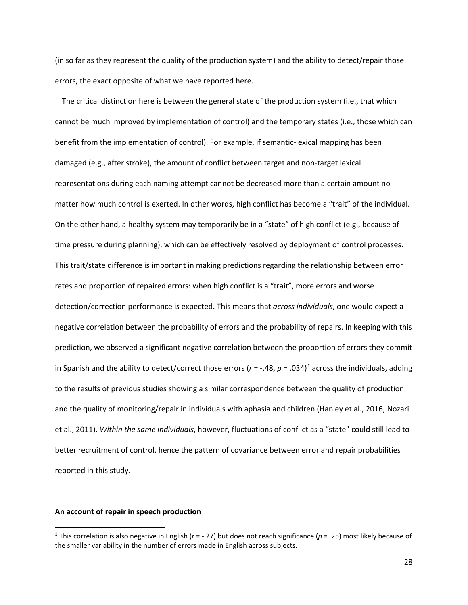(in so far as they represent the quality of the production system) and the ability to detect/repair those errors, the exact opposite of what we have reported here.

The critical distinction here is between the general state of the production system (i.e., that which cannot be much improved by implementation of control) and the temporary states (i.e., those which can benefit from the implementation of control). For example, if semantic-lexical mapping has been damaged (e.g., after stroke), the amount of conflict between target and non-target lexical representations during each naming attempt cannot be decreased more than a certain amount no matter how much control is exerted. In other words, high conflict has become a "trait" of the individual. On the other hand, a healthy system may temporarily be in a "state" of high conflict (e.g., because of time pressure during planning), which can be effectively resolved by deployment of control processes. This trait/state difference is important in making predictions regarding the relationship between error rates and proportion of repaired errors: when high conflict is a "trait", more errors and worse detection/correction performance is expected. This means that *across individuals*, one would expect a negative correlation between the probability of errors and the probability of repairs. In keeping with this prediction, we observed a significant negative correlation between the proportion of errors they commit in Spanish and the ability to detect/correct those errors  $(r = -.48, p = .034)^{1}$  $(r = -.48, p = .034)^{1}$  $(r = -.48, p = .034)^{1}$  across the individuals, adding to the results of previous studies showing a similar correspondence between the quality of production and the quality of monitoring/repair in individuals with aphasia and children (Hanley et al., 2016; Nozari et al., 2011). *Within the same individuals*, however, fluctuations of conflict as a "state" could still lead to better recruitment of control, hence the pattern of covariance between error and repair probabilities reported in this study.

## **An account of repair in speech production**

<span id="page-27-0"></span><sup>&</sup>lt;sup>1</sup> This correlation is also negative in English ( $r = -27$ ) but does not reach significance ( $p = 0.25$ ) most likely because of the smaller variability in the number of errors made in English across subjects.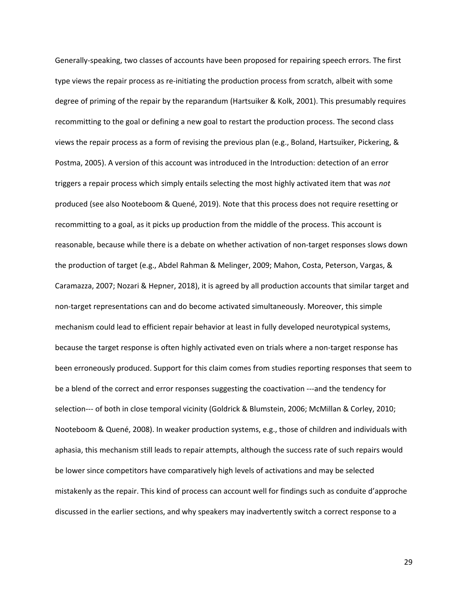Generally-speaking, two classes of accounts have been proposed for repairing speech errors. The first type views the repair process as re-initiating the production process from scratch, albeit with some degree of priming of the repair by the reparandum (Hartsuiker & Kolk, 2001). This presumably requires recommitting to the goal or defining a new goal to restart the production process. The second class views the repair process as a form of revising the previous plan (e.g., Boland, Hartsuiker, Pickering, & Postma, 2005). A version of this account was introduced in the Introduction: detection of an error triggers a repair process which simply entails selecting the most highly activated item that was *not*  produced (see also Nooteboom & Quené, 2019). Note that this process does not require resetting or recommitting to a goal, as it picks up production from the middle of the process. This account is reasonable, because while there is a debate on whether activation of non-target responses slows down the production of target (e.g., Abdel Rahman & Melinger, 2009; Mahon, Costa, Peterson, Vargas, & Caramazza, 2007; Nozari & Hepner, 2018), it is agreed by all production accounts that similar target and non-target representations can and do become activated simultaneously. Moreover, this simple mechanism could lead to efficient repair behavior at least in fully developed neurotypical systems, because the target response is often highly activated even on trials where a non-target response has been erroneously produced. Support for this claim comes from studies reporting responses that seem to be a blend of the correct and error responses suggesting the coactivation ---and the tendency for selection--- of both in close temporal vicinity (Goldrick & Blumstein, 2006; McMillan & Corley, 2010; Nooteboom & Quené, 2008). In weaker production systems, e.g., those of children and individuals with aphasia, this mechanism still leads to repair attempts, although the success rate of such repairs would be lower since competitors have comparatively high levels of activations and may be selected mistakenly as the repair. This kind of process can account well for findings such as conduite d'approche discussed in the earlier sections, and why speakers may inadvertently switch a correct response to a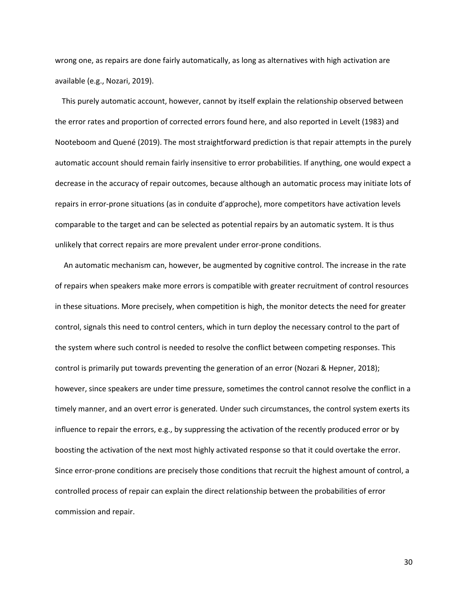wrong one, as repairs are done fairly automatically, as long as alternatives with high activation are available (e.g., Nozari, 2019).

This purely automatic account, however, cannot by itself explain the relationship observed between the error rates and proportion of corrected errors found here, and also reported in Levelt (1983) and Nooteboom and Quené (2019). The most straightforward prediction is that repair attempts in the purely automatic account should remain fairly insensitive to error probabilities. If anything, one would expect a decrease in the accuracy of repair outcomes, because although an automatic process may initiate lots of repairs in error-prone situations (as in conduite d'approche), more competitors have activation levels comparable to the target and can be selected as potential repairs by an automatic system. It is thus unlikely that correct repairs are more prevalent under error-prone conditions.

An automatic mechanism can, however, be augmented by cognitive control. The increase in the rate of repairs when speakers make more errors is compatible with greater recruitment of control resources in these situations. More precisely, when competition is high, the monitor detects the need for greater control, signals this need to control centers, which in turn deploy the necessary control to the part of the system where such control is needed to resolve the conflict between competing responses. This control is primarily put towards preventing the generation of an error (Nozari & Hepner, 2018); however, since speakers are under time pressure, sometimes the control cannot resolve the conflict in a timely manner, and an overt error is generated. Under such circumstances, the control system exerts its influence to repair the errors, e.g., by suppressing the activation of the recently produced error or by boosting the activation of the next most highly activated response so that it could overtake the error. Since error-prone conditions are precisely those conditions that recruit the highest amount of control, a controlled process of repair can explain the direct relationship between the probabilities of error commission and repair.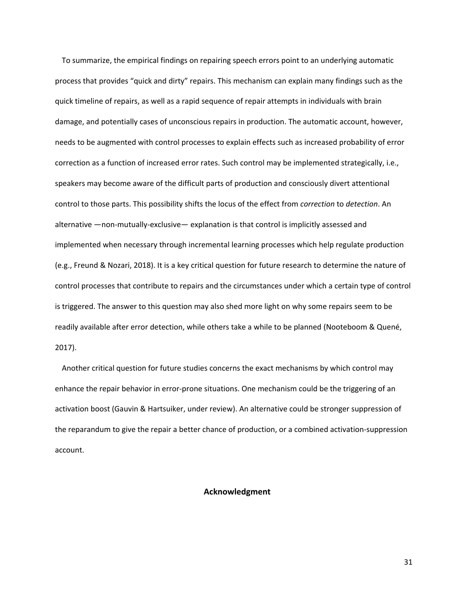To summarize, the empirical findings on repairing speech errors point to an underlying automatic process that provides "quick and dirty" repairs. This mechanism can explain many findings such as the quick timeline of repairs, as well as a rapid sequence of repair attempts in individuals with brain damage, and potentially cases of unconscious repairs in production. The automatic account, however, needs to be augmented with control processes to explain effects such as increased probability of error correction as a function of increased error rates. Such control may be implemented strategically, i.e., speakers may become aware of the difficult parts of production and consciously divert attentional control to those parts. This possibility shifts the locus of the effect from *correction* to *detection*. An alternative —non-mutually-exclusive— explanation is that control is implicitly assessed and implemented when necessary through incremental learning processes which help regulate production (e.g., Freund & Nozari, 2018). It is a key critical question for future research to determine the nature of control processes that contribute to repairs and the circumstances under which a certain type of control is triggered. The answer to this question may also shed more light on why some repairs seem to be readily available after error detection, while others take a while to be planned (Nooteboom & Quené, 2017).

Another critical question for future studies concerns the exact mechanisms by which control may enhance the repair behavior in error-prone situations. One mechanism could be the triggering of an activation boost (Gauvin & Hartsuiker, under review). An alternative could be stronger suppression of the reparandum to give the repair a better chance of production, or a combined activation-suppression account.

# **Acknowledgment**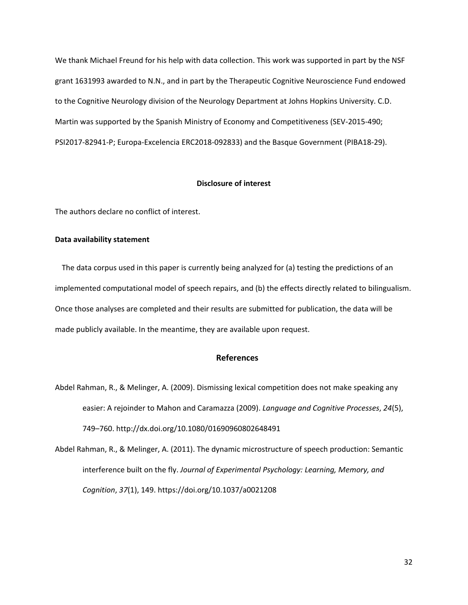We thank Michael Freund for his help with data collection. This work was supported in part by the NSF grant 1631993 awarded to N.N., and in part by the Therapeutic Cognitive Neuroscience Fund endowed to the Cognitive Neurology division of the Neurology Department at Johns Hopkins University. C.D. Martin was supported by the Spanish Ministry of Economy and Competitiveness (SEV-2015-490; PSI2017-82941-P; Europa-Excelencia ERC2018-092833) and the Basque Government (PIBA18-29).

#### **Disclosure of interest**

The authors declare no conflict of interest.

## **Data availability statement**

The data corpus used in this paper is currently being analyzed for (a) testing the predictions of an implemented computational model of speech repairs, and (b) the effects directly related to bilingualism. Once those analyses are completed and their results are submitted for publication, the data will be made publicly available. In the meantime, they are available upon request.

# **References**

- Abdel Rahman, R., & Melinger, A. (2009). Dismissing lexical competition does not make speaking any easier: A rejoinder to Mahon and Caramazza (2009). *Language and Cognitive Processes*, *24*(5), 749–760. http://dx.doi.org/10.1080/01690960802648491
- Abdel Rahman, R., & Melinger, A. (2011). The dynamic microstructure of speech production: Semantic interference built on the fly. *Journal of Experimental Psychology: Learning, Memory, and Cognition*, *37*(1), 149. https://doi.org/10.1037/a0021208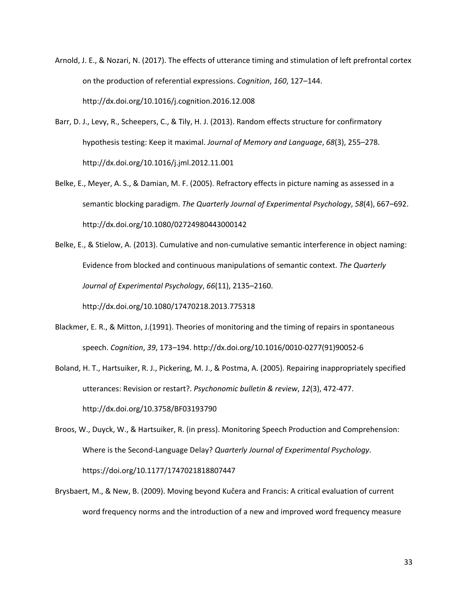- Arnold, J. E., & Nozari, N. (2017). The effects of utterance timing and stimulation of left prefrontal cortex on the production of referential expressions. *Cognition*, *160*, 127–144. http://dx.doi.org/10.1016/j.cognition.2016.12.008
- Barr, D. J., Levy, R., Scheepers, C., & Tily, H. J. (2013). Random effects structure for confirmatory hypothesis testing: Keep it maximal. *Journal of Memory and Language*, *68*(3), 255–278. http://dx.doi.org/10.1016/j.jml.2012.11.001
- Belke, E., Meyer, A. S., & Damian, M. F. (2005). Refractory effects in picture naming as assessed in a semantic blocking paradigm. *The Quarterly Journal of Experimental Psychology*, *58*(4), 667–692. http://dx.doi.org/10.1080/02724980443000142
- Belke, E., & Stielow, A. (2013). Cumulative and non-cumulative semantic interference in object naming: Evidence from blocked and continuous manipulations of semantic context. *The Quarterly Journal of Experimental Psychology*, *66*(11), 2135–2160. http://dx.doi.org/10.1080/17470218.2013.775318
- Blackmer, E. R., & Mitton, J.(1991). Theories of monitoring and the timing of repairs in spontaneous speech. *Cognition*, *39*, 173–194. http://dx.doi.org/10.1016/0010-0277(91)90052-6
- Boland, H. T., Hartsuiker, R. J., Pickering, M. J., & Postma, A. (2005). Repairing inappropriately specified utterances: Revision or restart?. *Psychonomic bulletin & review*, *12*(3), 472-477. http://dx.doi.org/10.3758/BF03193790
- Broos, W., Duyck, W., & Hartsuiker, R. (in press). Monitoring Speech Production and Comprehension: Where is the Second-Language Delay? *Quarterly Journal of Experimental Psychology*. https://doi.org/10.1177/1747021818807447
- Brysbaert, M., & New, B. (2009). Moving beyond Kučera and Francis: A critical evaluation of current word frequency norms and the introduction of a new and improved word frequency measure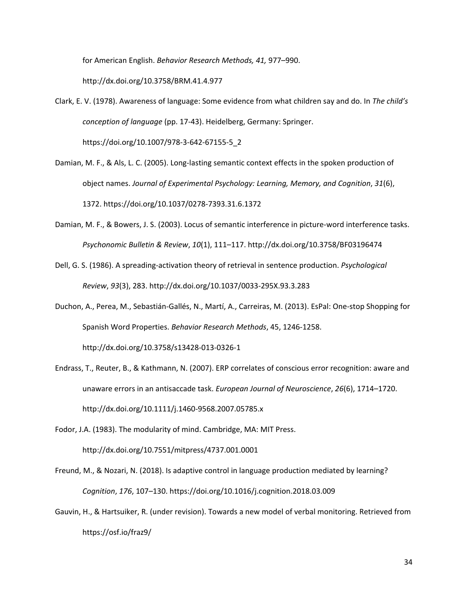for American English. *Behavior Research Methods, 41,* 977–990.

http://dx.doi.org/10.3758/BRM.41.4.977

- Clark, E. V. (1978). Awareness of language: Some evidence from what children say and do. In *The child's conception of language* (pp. 17-43). Heidelberg, Germany: Springer. https://doi.org/10.1007/978-3-642-67155-5\_2
- Damian, M. F., & Als, L. C. (2005). Long-lasting semantic context effects in the spoken production of object names. *Journal of Experimental Psychology: Learning, Memory, and Cognition*, *31*(6), 1372. https://doi.org/10.1037/0278-7393.31.6.1372
- Damian, M. F., & Bowers, J. S. (2003). Locus of semantic interference in picture-word interference tasks. *Psychonomic Bulletin & Review*, *10*(1), 111–117. http://dx.doi.org/10.3758/BF03196474
- Dell, G. S. (1986). A spreading-activation theory of retrieval in sentence production. *Psychological Review*, *93*(3), 283. http://dx.doi.org/10.1037/0033-295X.93.3.283
- Duchon, A., Perea, M., Sebastián-Gallés, N., Martí, A., Carreiras, M. (2013). EsPal: One-stop Shopping for Spanish Word Properties. *Behavior Research Methods*, 45, 1246-1258. http://dx.doi.org/10.3758/s13428-013-0326-1
- Endrass, T., Reuter, B., & Kathmann, N. (2007). ERP correlates of conscious error recognition: aware and unaware errors in an antisaccade task. *European Journal of Neuroscience*, *26*(6), 1714–1720. http://dx.doi.org/10.1111/j.1460-9568.2007.05785.x
- Fodor, J.A. (1983). The modularity of mind. Cambridge, MA: MIT Press. http://dx.doi.org/10.7551/mitpress/4737.001.0001
- Freund, M., & Nozari, N. (2018). Is adaptive control in language production mediated by learning? *Cognition*, *176*, 107–130. https://doi.org/10.1016/j.cognition.2018.03.009
- Gauvin, H., & Hartsuiker, R. (under revision). Towards a new model of verbal monitoring. Retrieved from https://osf.io/fraz9/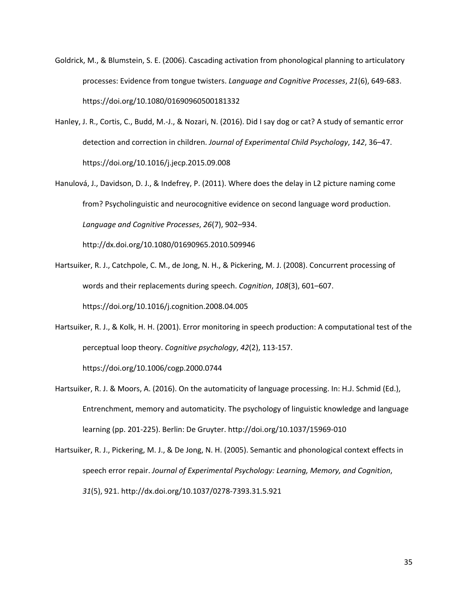- Goldrick, M., & Blumstein, S. E. (2006). Cascading activation from phonological planning to articulatory processes: Evidence from tongue twisters. *Language and Cognitive Processes*, *21*(6), 649-683. https://doi.org/10.1080/01690960500181332
- Hanley, J. R., Cortis, C., Budd, M.-J., & Nozari, N. (2016). Did I say dog or cat? A study of semantic error detection and correction in children. *Journal of Experimental Child Psychology*, *142*, 36–47. https://doi.org/10.1016/j.jecp.2015.09.008
- Hanulová, J., Davidson, D. J., & Indefrey, P. (2011). Where does the delay in L2 picture naming come from? Psycholinguistic and neurocognitive evidence on second language word production. *Language and Cognitive Processes*, *26*(7), 902–934.

http://dx.doi.org/10.1080/01690965.2010.509946

- Hartsuiker, R. J., Catchpole, C. M., de Jong, N. H., & Pickering, M. J. (2008). Concurrent processing of words and their replacements during speech. *Cognition*, *108*(3), 601–607. https://doi.org/10.1016/j.cognition.2008.04.005
- Hartsuiker, R. J., & Kolk, H. H. (2001). Error monitoring in speech production: A computational test of the perceptual loop theory. *Cognitive psychology*, *42*(2), 113-157.

https://doi.org/10.1006/cogp.2000.0744

- Hartsuiker, R. J. & Moors, A. (2016). On the automaticity of language processing. In: H.J. Schmid (Ed.), Entrenchment, memory and automaticity. The psychology of linguistic knowledge and language learning (pp. 201-225). Berlin: De Gruyter. http://doi.org/10.1037/15969-010
- Hartsuiker, R. J., Pickering, M. J., & De Jong, N. H. (2005). Semantic and phonological context effects in speech error repair. *Journal of Experimental Psychology: Learning, Memory, and Cognition*, *31*(5), 921. http://dx.doi.org/10.1037/0278-7393.31.5.921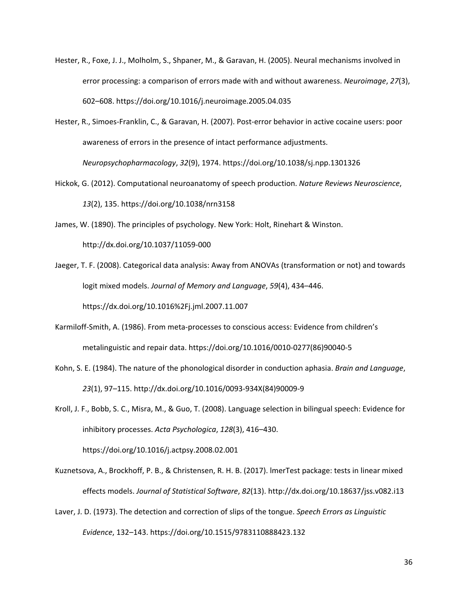- Hester, R., Foxe, J. J., Molholm, S., Shpaner, M., & Garavan, H. (2005). Neural mechanisms involved in error processing: a comparison of errors made with and without awareness. *Neuroimage*, *27*(3), 602–608. https://doi.org/10.1016/j.neuroimage.2005.04.035
- Hester, R., Simoes-Franklin, C., & Garavan, H. (2007). Post-error behavior in active cocaine users: poor awareness of errors in the presence of intact performance adjustments. *Neuropsychopharmacology*, *32*(9), 1974. https://doi.org/10.1038/sj.npp.1301326
- Hickok, G. (2012). Computational neuroanatomy of speech production. *Nature Reviews Neuroscience*, *13*(2), 135. https://doi.org/10.1038/nrn3158

James, W. (1890). The principles of psychology. New York: Holt, Rinehart & Winston. http://dx.doi.org/10.1037/11059-000

Jaeger, T. F. (2008). Categorical data analysis: Away from ANOVAs (transformation or not) and towards logit mixed models. *Journal of Memory and Language*, *59*(4), 434–446. https://dx.doi.org/10.1016%2Fj.jml.2007.11.007

- Karmiloff-Smith, A. (1986). From meta-processes to conscious access: Evidence from children's metalinguistic and repair data. https://doi.org/10.1016/0010-0277(86)90040-5
- Kohn, S. E. (1984). The nature of the phonological disorder in conduction aphasia. *Brain and Language*, *23*(1), 97–115. http://dx.doi.org/10.1016/0093-934X(84)90009-9

Kroll, J. F., Bobb, S. C., Misra, M., & Guo, T. (2008). Language selection in bilingual speech: Evidence for inhibitory processes. *Acta Psychologica*, *128*(3), 416–430.

https://doi.org/10.1016/j.actpsy.2008.02.001

Kuznetsova, A., Brockhoff, P. B., & Christensen, R. H. B. (2017). lmerTest package: tests in linear mixed effects models. *Journal of Statistical Software*, *82*(13). http://dx.doi.org/10.18637/jss.v082.i13

Laver, J. D. (1973). The detection and correction of slips of the tongue. *Speech Errors as Linguistic Evidence*, 132–143. https://doi.org/10.1515/9783110888423.132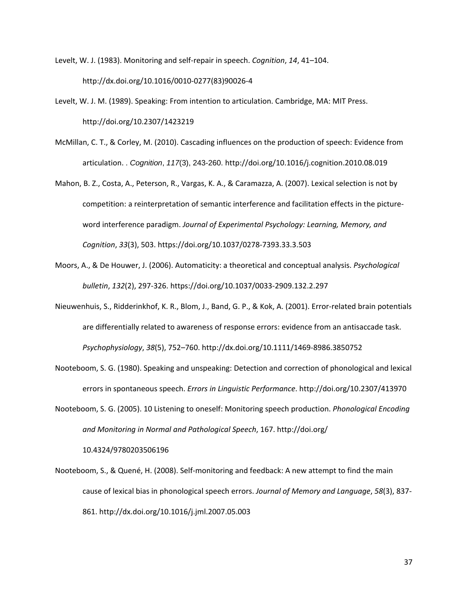Levelt, W. J. (1983). Monitoring and self-repair in speech. *Cognition*, *14*, 41–104. http://dx.doi.org/10.1016/0010-0277(83)90026-4

- Levelt, W. J. M. (1989). Speaking: From intention to articulation. Cambridge, MA: MIT Press. http://doi.org/10.2307/1423219
- McMillan, C. T., & Corley, M. (2010). Cascading influences on the production of speech: Evidence from articulation. . *Cognition*, *117*(3), 243-260. http://doi.org/10.1016/j.cognition.2010.08.019
- Mahon, B. Z., Costa, A., Peterson, R., Vargas, K. A., & Caramazza, A. (2007). Lexical selection is not by competition: a reinterpretation of semantic interference and facilitation effects in the pictureword interference paradigm. *Journal of Experimental Psychology: Learning, Memory, and Cognition*, *33*(3), 503. https://doi.org/10.1037/0278-7393.33.3.503
- Moors, A., & De Houwer, J. (2006). Automaticity: a theoretical and conceptual analysis. *Psychological bulletin*, *132*(2), 297-326. https://doi.org/10.1037/0033-2909.132.2.297
- Nieuwenhuis, S., Ridderinkhof, K. R., Blom, J., Band, G. P., & Kok, A. (2001). Error-related brain potentials are differentially related to awareness of response errors: evidence from an antisaccade task. *Psychophysiology*, *38*(5), 752–760. http://dx.doi.org/10.1111/1469-8986.3850752
- Nooteboom, S. G. (1980). Speaking and unspeaking: Detection and correction of phonological and lexical errors in spontaneous speech. *Errors in Linguistic Performance*. http://doi.org/10.2307/413970
- Nooteboom, S. G. (2005). 10 Listening to oneself: Monitoring speech production. *Phonological Encoding and Monitoring in Normal and Pathological Speech*, 167. http://doi.org/ 10.4324/9780203506196
- Nooteboom, S., & Quené, H. (2008). Self-monitoring and feedback: A new attempt to find the main cause of lexical bias in phonological speech errors. *Journal of Memory and Language*, *58*(3), 837- 861. http://dx.doi.org/10.1016/j.jml.2007.05.003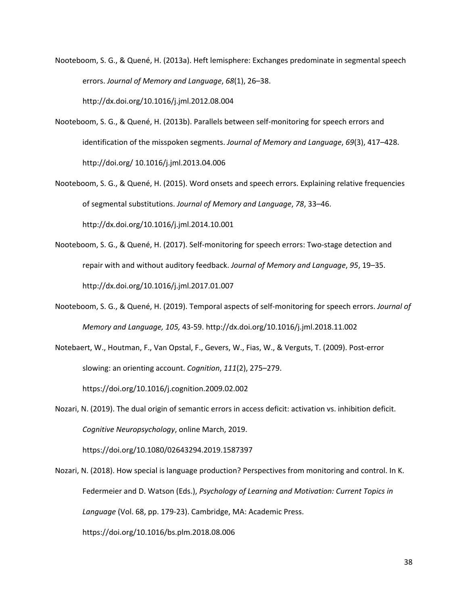Nooteboom, S. G., & Quené, H. (2013a). Heft lemisphere: Exchanges predominate in segmental speech errors. *Journal of Memory and Language*, *68*(1), 26–38.

http://dx.doi.org/10.1016/j.jml.2012.08.004

- Nooteboom, S. G., & Quené, H. (2013b). Parallels between self-monitoring for speech errors and identification of the misspoken segments. *Journal of Memory and Language*, *69*(3), 417–428. http://doi.org/ 10.1016/j.jml.2013.04.006
- Nooteboom, S. G., & Quené, H. (2015). Word onsets and speech errors. Explaining relative frequencies of segmental substitutions. *Journal of Memory and Language*, *78*, 33–46. http://dx.doi.org/10.1016/j.jml.2014.10.001
- Nooteboom, S. G., & Quené, H. (2017). Self-monitoring for speech errors: Two-stage detection and repair with and without auditory feedback. *Journal of Memory and Language*, *95*, 19–35. http://dx.doi.org/10.1016/j.jml.2017.01.007
- Nooteboom, S. G., & Quené, H. (2019). Temporal aspects of self-monitoring for speech errors. *Journal of Memory and Language, 105,* 43-59. http://dx.doi.org/10.1016/j.jml.2018.11.002
- Notebaert, W., Houtman, F., Van Opstal, F., Gevers, W., Fias, W., & Verguts, T. (2009). Post-error slowing: an orienting account. *Cognition*, *111*(2), 275–279. https://doi.org/10.1016/j.cognition.2009.02.002
- Nozari, N. (2019). The dual origin of semantic errors in access deficit: activation vs. inhibition deficit. *Cognitive Neuropsychology*, online March, 2019.

https://doi.org/10.1080/02643294.2019.1587397

Nozari, N. (2018). How special is language production? Perspectives from monitoring and control. In K. Federmeier and D. Watson (Eds.), *Psychology of Learning and Motivation: Current Topics in Language* (Vol. 68, pp. 179-23). Cambridge, MA: Academic Press.

https://doi.org/10.1016/bs.plm.2018.08.006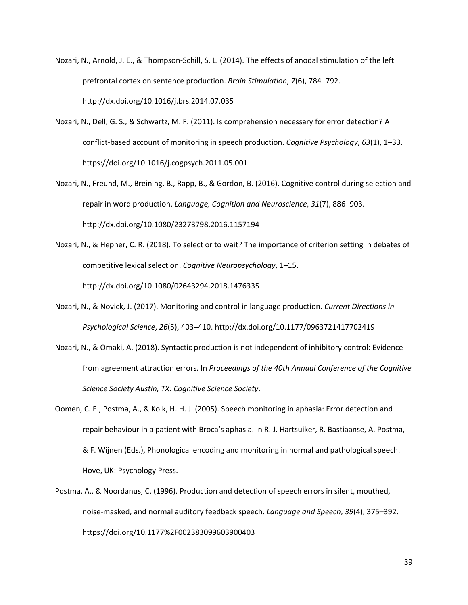- Nozari, N., Arnold, J. E., & Thompson-Schill, S. L. (2014). The effects of anodal stimulation of the left prefrontal cortex on sentence production. *Brain Stimulation*, *7*(6), 784–792. http://dx.doi.org/10.1016/j.brs.2014.07.035
- Nozari, N., Dell, G. S., & Schwartz, M. F. (2011). Is comprehension necessary for error detection? A conflict-based account of monitoring in speech production. *Cognitive Psychology*, *63*(1), 1–33. https://doi.org/10.1016/j.cogpsych.2011.05.001
- Nozari, N., Freund, M., Breining, B., Rapp, B., & Gordon, B. (2016). Cognitive control during selection and repair in word production. *Language, Cognition and Neuroscience*, *31*(7), 886–903. http://dx.doi.org/10.1080/23273798.2016.1157194
- Nozari, N., & Hepner, C. R. (2018). To select or to wait? The importance of criterion setting in debates of competitive lexical selection. *Cognitive Neuropsychology*, 1–15. http://dx.doi.org/10.1080/02643294.2018.1476335
- Nozari, N., & Novick, J. (2017). Monitoring and control in language production. *Current Directions in Psychological Science*, *26*(5), 403–410. http://dx.doi.org/10.1177/0963721417702419
- Nozari, N., & Omaki, A. (2018). Syntactic production is not independent of inhibitory control: Evidence from agreement attraction errors. In *Proceedings of the 40th Annual Conference of the Cognitive Science Society Austin, TX: Cognitive Science Society*.
- Oomen, C. E., Postma, A., & Kolk, H. H. J. (2005). Speech monitoring in aphasia: Error detection and repair behaviour in a patient with Broca's aphasia. In R. J. Hartsuiker, R. Bastiaanse, A. Postma, & F. Wijnen (Eds.), Phonological encoding and monitoring in normal and pathological speech. Hove, UK: Psychology Press.
- Postma, A., & Noordanus, C. (1996). Production and detection of speech errors in silent, mouthed, noise-masked, and normal auditory feedback speech. *Language and Speech*, *39*(4), 375–392. https://doi.org/10.1177%2F002383099603900403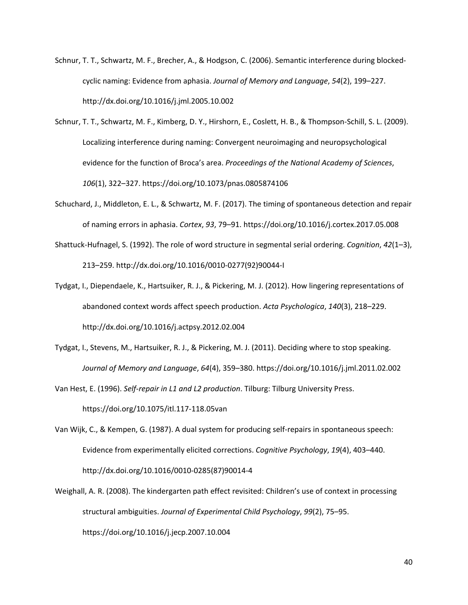- Schnur, T. T., Schwartz, M. F., Brecher, A., & Hodgson, C. (2006). Semantic interference during blockedcyclic naming: Evidence from aphasia. *Journal of Memory and Language*, *54*(2), 199–227. http://dx.doi.org/10.1016/j.jml.2005.10.002
- Schnur, T. T., Schwartz, M. F., Kimberg, D. Y., Hirshorn, E., Coslett, H. B., & Thompson-Schill, S. L. (2009). Localizing interference during naming: Convergent neuroimaging and neuropsychological evidence for the function of Broca's area. *Proceedings of the National Academy of Sciences*, *106*(1), 322–327. https://doi.org/10.1073/pnas.0805874106
- Schuchard, J., Middleton, E. L., & Schwartz, M. F. (2017). The timing of spontaneous detection and repair of naming errors in aphasia. *Cortex*, *93*, 79–91. https://doi.org/10.1016/j.cortex.2017.05.008
- Shattuck-Hufnagel, S. (1992). The role of word structure in segmental serial ordering. *Cognition*, *42*(1–3), 213–259. http://dx.doi.org/10.1016/0010-0277(92)90044-I
- Tydgat, I., Diependaele, K., Hartsuiker, R. J., & Pickering, M. J. (2012). How lingering representations of abandoned context words affect speech production. *Acta Psychologica*, *140*(3), 218–229. http://dx.doi.org/10.1016/j.actpsy.2012.02.004
- Tydgat, I., Stevens, M., Hartsuiker, R. J., & Pickering, M. J. (2011). Deciding where to stop speaking. *Journal of Memory and Language*, *64*(4), 359–380. https://doi.org/10.1016/j.jml.2011.02.002

Van Hest, E. (1996). *Self-repair in L1 and L2 production*. Tilburg: Tilburg University Press. https://doi.org/10.1075/itl.117-118.05van

- Van Wijk, C., & Kempen, G. (1987). A dual system for producing self-repairs in spontaneous speech: Evidence from experimentally elicited corrections. *Cognitive Psychology*, *19*(4), 403–440. http://dx.doi.org/10.1016/0010-0285(87)90014-4
- Weighall, A. R. (2008). The kindergarten path effect revisited: Children's use of context in processing structural ambiguities. *Journal of Experimental Child Psychology*, *99*(2), 75–95. https://doi.org/10.1016/j.jecp.2007.10.004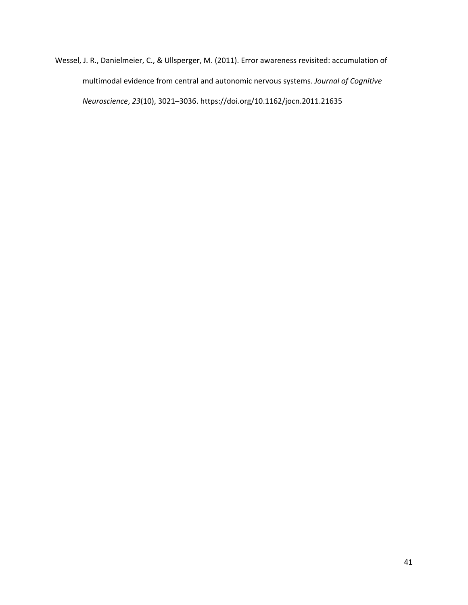Wessel, J. R., Danielmeier, C., & Ullsperger, M. (2011). Error awareness revisited: accumulation of multimodal evidence from central and autonomic nervous systems. *Journal of Cognitive Neuroscience*, *23*(10), 3021–3036. https://doi.org/10.1162/jocn.2011.21635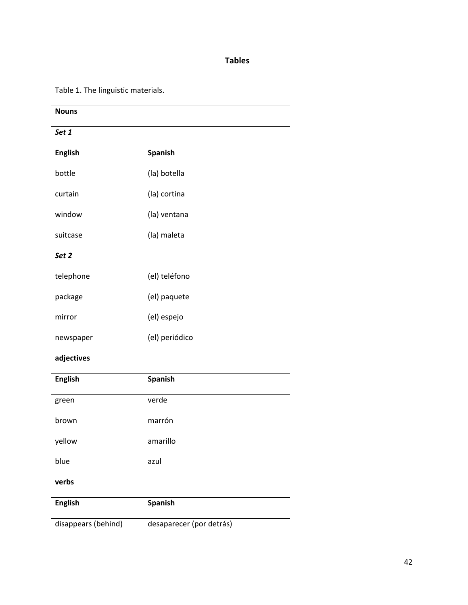# **Tables**

Table 1. The linguistic materials.

| <b>Nouns</b>        |                          |
|---------------------|--------------------------|
| Set 1               |                          |
| <b>English</b>      | <b>Spanish</b>           |
| bottle              | (la) botella             |
| curtain             | (la) cortina             |
| window              | (la) ventana             |
| suitcase            | (la) maleta              |
| Set <sub>2</sub>    |                          |
| telephone           | (el) teléfono            |
| package             | (el) paquete             |
| mirror              | (el) espejo              |
| newspaper           | (el) periódico           |
| adjectives          |                          |
| <b>English</b>      | Spanish                  |
| green               | verde                    |
| brown               | marrón                   |
| yellow              | amarillo                 |
| blue                | azul                     |
| verbs               |                          |
| <b>English</b>      | <b>Spanish</b>           |
| disappears (behind) | desaparecer (por detrás) |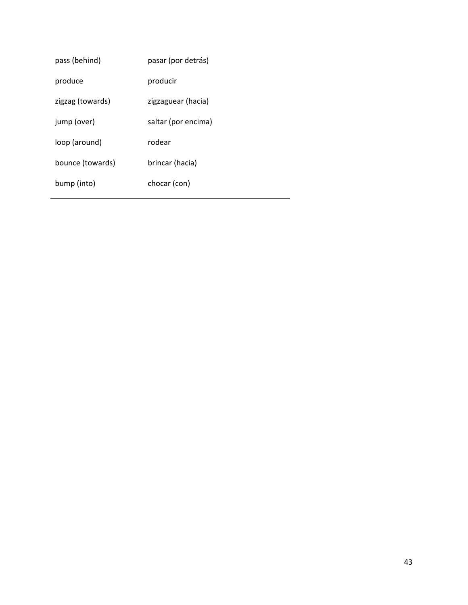| pass (behind)    | pasar (por detrás)  |
|------------------|---------------------|
| produce          | producir            |
| zigzag (towards) | zigzaguear (hacia)  |
| jump (over)      | saltar (por encima) |
| loop (around)    | rodear              |
| bounce (towards) | brincar (hacia)     |
| bump (into)      | chocar (con)        |